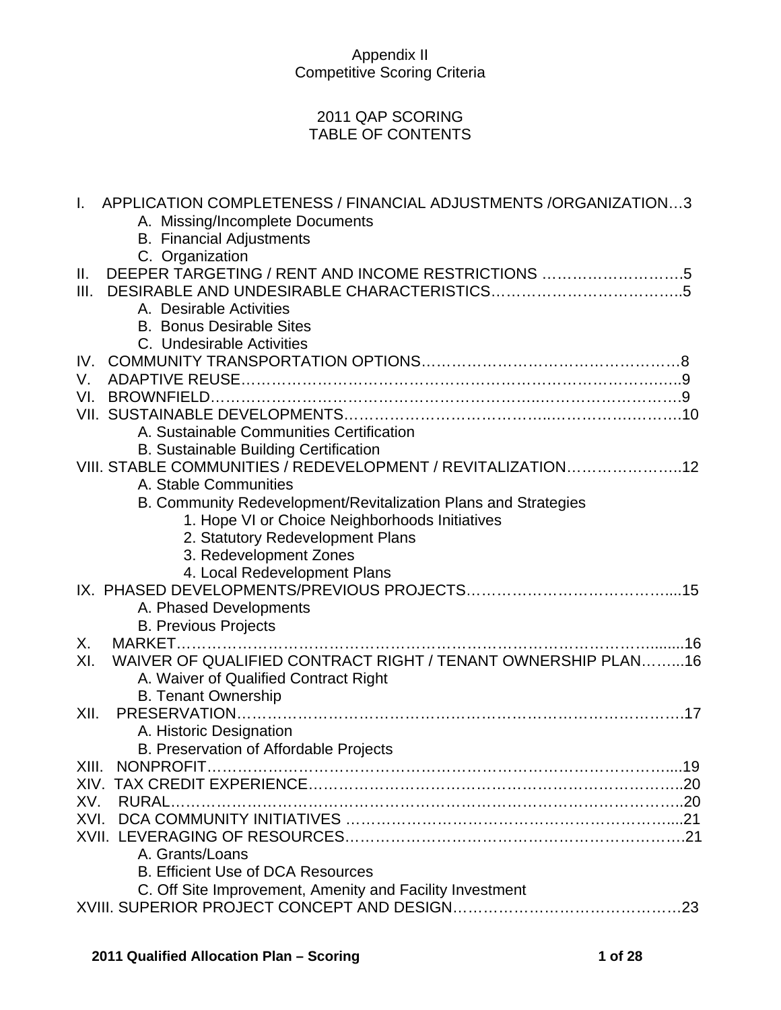## 2011 QAP SCORING TABLE OF CONTENTS

| APPLICATION COMPLETENESS / FINANCIAL ADJUSTMENTS /ORGANIZATION3<br>$\mathbf{L}$ |
|---------------------------------------------------------------------------------|
| A. Missing/Incomplete Documents                                                 |
| <b>B.</b> Financial Adjustments                                                 |
| C. Organization                                                                 |
| DEEPER TARGETING / RENT AND INCOME RESTRICTIONS 5<br>Ш.                         |
| III.                                                                            |
| A. Desirable Activities                                                         |
| <b>B. Bonus Desirable Sites</b>                                                 |
| C. Undesirable Activities                                                       |
|                                                                                 |
| V.                                                                              |
| VI.                                                                             |
|                                                                                 |
| A. Sustainable Communities Certification                                        |
| <b>B. Sustainable Building Certification</b>                                    |
| VIII. STABLE COMMUNITIES / REDEVELOPMENT / REVITALIZATION12                     |
| A. Stable Communities                                                           |
| B. Community Redevelopment/Revitalization Plans and Strategies                  |
| 1. Hope VI or Choice Neighborhoods Initiatives                                  |
| 2. Statutory Redevelopment Plans                                                |
| 3. Redevelopment Zones                                                          |
| 4. Local Redevelopment Plans                                                    |
| A. Phased Developments                                                          |
| <b>B. Previous Projects</b>                                                     |
| Χ.                                                                              |
| WAIVER OF QUALIFIED CONTRACT RIGHT / TENANT OWNERSHIP PLAN16<br>XI.             |
| A. Waiver of Qualified Contract Right                                           |
| <b>B. Tenant Ownership</b>                                                      |
| XII.                                                                            |
| A. Historic Designation                                                         |
| B. Preservation of Affordable Projects                                          |
| XIII.                                                                           |
|                                                                                 |
| XV.<br>RURAL.                                                                   |
|                                                                                 |
|                                                                                 |
| A. Grants/Loans                                                                 |
| <b>B. Efficient Use of DCA Resources</b>                                        |
| C. Off Site Improvement, Amenity and Facility Investment                        |
|                                                                                 |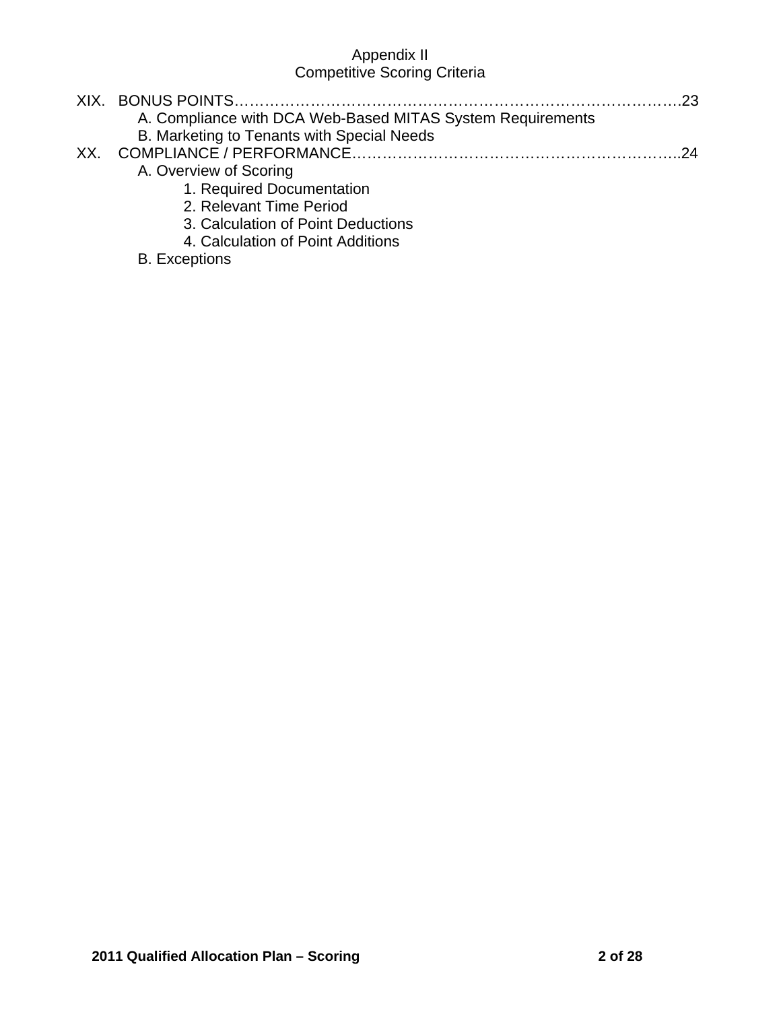|     | A. Compliance with DCA Web-Based MITAS System Requirements |  |
|-----|------------------------------------------------------------|--|
|     | B. Marketing to Tenants with Special Needs                 |  |
| XX. |                                                            |  |
|     | A. Overview of Scoring                                     |  |
|     | 1. Required Documentation                                  |  |
|     | 2. Relevant Time Period                                    |  |
|     | 3. Calculation of Point Deductions                         |  |
|     | 4. Calculation of Point Additions                          |  |

# B. Exceptions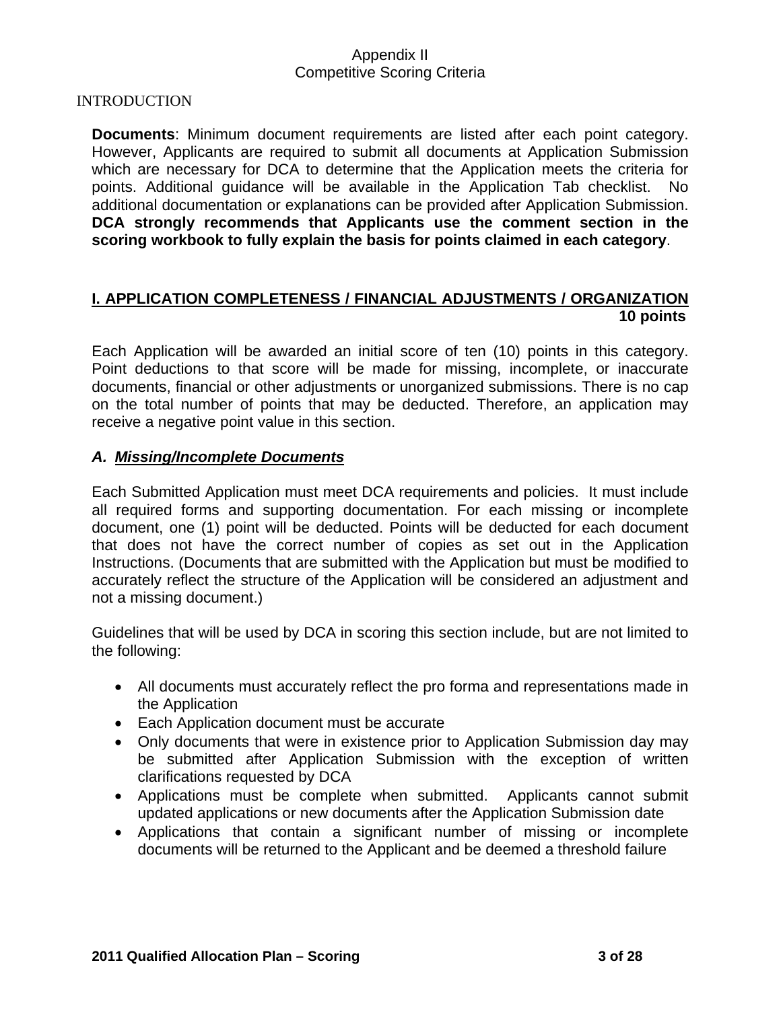#### INTRODUCTION

**Documents**: Minimum document requirements are listed after each point category. However, Applicants are required to submit all documents at Application Submission which are necessary for DCA to determine that the Application meets the criteria for points. Additional guidance will be available in the Application Tab checklist. No additional documentation or explanations can be provided after Application Submission. **DCA strongly recommends that Applicants use the comment section in the scoring workbook to fully explain the basis for points claimed in each category**.

#### **I. APPLICATION COMPLETENESS / FINANCIAL ADJUSTMENTS / ORGANIZATION 10 points**

Each Application will be awarded an initial score of ten (10) points in this category. Point deductions to that score will be made for missing, incomplete, or inaccurate documents, financial or other adjustments or unorganized submissions. There is no cap on the total number of points that may be deducted. Therefore, an application may receive a negative point value in this section.

#### *A. Missing/Incomplete Documents*

Each Submitted Application must meet DCA requirements and policies. It must include all required forms and supporting documentation. For each missing or incomplete document, one (1) point will be deducted. Points will be deducted for each document that does not have the correct number of copies as set out in the Application Instructions. (Documents that are submitted with the Application but must be modified to accurately reflect the structure of the Application will be considered an adjustment and not a missing document.)

Guidelines that will be used by DCA in scoring this section include, but are not limited to the following:

- All documents must accurately reflect the pro forma and representations made in the Application
- Each Application document must be accurate
- Only documents that were in existence prior to Application Submission day may be submitted after Application Submission with the exception of written clarifications requested by DCA
- Applications must be complete when submitted. Applicants cannot submit updated applications or new documents after the Application Submission date
- Applications that contain a significant number of missing or incomplete documents will be returned to the Applicant and be deemed a threshold failure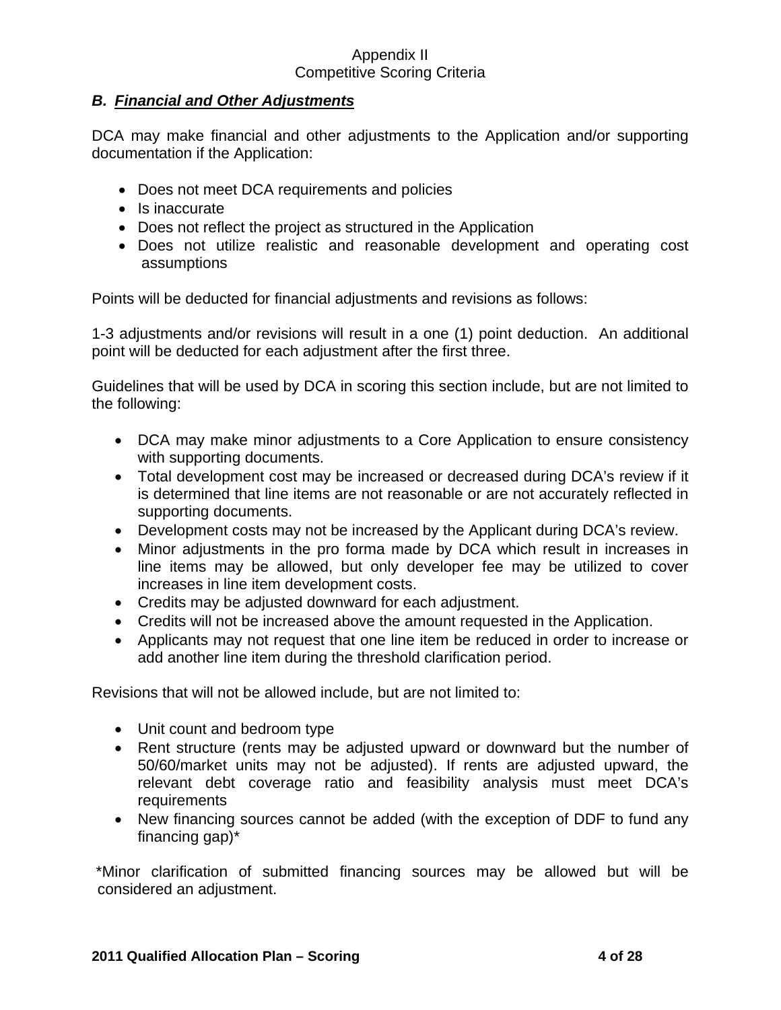## *B. Financial and Other Adjustments*

DCA may make financial and other adjustments to the Application and/or supporting documentation if the Application:

- Does not meet DCA requirements and policies
- Is inaccurate
- Does not reflect the project as structured in the Application
- Does not utilize realistic and reasonable development and operating cost assumptions

Points will be deducted for financial adjustments and revisions as follows:

1-3 adjustments and/or revisions will result in a one (1) point deduction. An additional point will be deducted for each adjustment after the first three.

Guidelines that will be used by DCA in scoring this section include, but are not limited to the following:

- DCA may make minor adjustments to a Core Application to ensure consistency with supporting documents.
- Total development cost may be increased or decreased during DCA's review if it is determined that line items are not reasonable or are not accurately reflected in supporting documents.
- Development costs may not be increased by the Applicant during DCA's review.
- Minor adjustments in the pro forma made by DCA which result in increases in line items may be allowed, but only developer fee may be utilized to cover increases in line item development costs.
- Credits may be adjusted downward for each adjustment.
- Credits will not be increased above the amount requested in the Application.
- Applicants may not request that one line item be reduced in order to increase or add another line item during the threshold clarification period.

Revisions that will not be allowed include, but are not limited to:

- Unit count and bedroom type
- Rent structure (rents may be adjusted upward or downward but the number of 50/60/market units may not be adjusted). If rents are adjusted upward, the relevant debt coverage ratio and feasibility analysis must meet DCA's requirements
- New financing sources cannot be added (with the exception of DDF to fund any financing gap)\*

 \*Minor clarification of submitted financing sources may be allowed but will be considered an adjustment.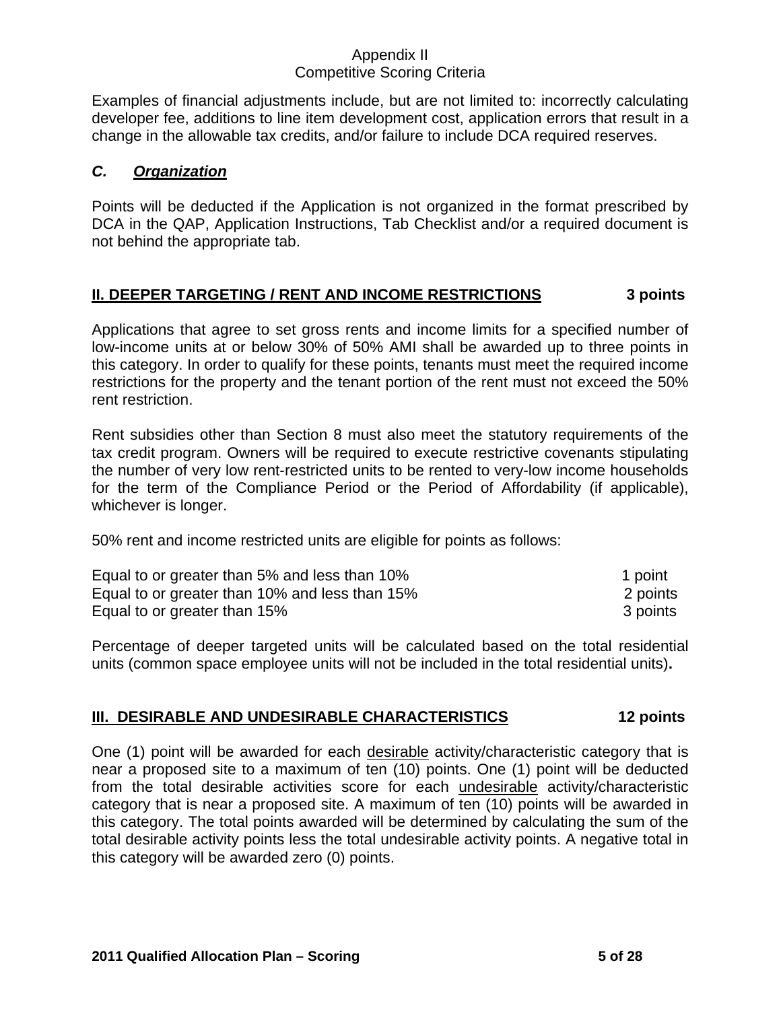Examples of financial adjustments include, but are not limited to: incorrectly calculating developer fee, additions to line item development cost, application errors that result in a change in the allowable tax credits, and/or failure to include DCA required reserves.

## *C. Organization*

Points will be deducted if the Application is not organized in the format prescribed by DCA in the QAP, Application Instructions, Tab Checklist and/or a required document is not behind the appropriate tab.

## **II. DEEPER TARGETING / RENT AND INCOME RESTRICTIONS 3 points**

Applications that agree to set gross rents and income limits for a specified number of low-income units at or below 30% of 50% AMI shall be awarded up to three points in this category. In order to qualify for these points, tenants must meet the required income restrictions for the property and the tenant portion of the rent must not exceed the 50% rent restriction.

Rent subsidies other than Section 8 must also meet the statutory requirements of the tax credit program. Owners will be required to execute restrictive covenants stipulating the number of very low rent-restricted units to be rented to very-low income households for the term of the Compliance Period or the Period of Affordability (if applicable), whichever is longer.

50% rent and income restricted units are eligible for points as follows:

| Equal to or greater than 5% and less than 10%  | 1 point  |
|------------------------------------------------|----------|
| Equal to or greater than 10% and less than 15% | 2 points |
| Equal to or greater than 15%                   | 3 points |

Percentage of deeper targeted units will be calculated based on the total residential units (common space employee units will not be included in the total residential units)**.**

### **III. DESIRABLE AND UNDESIRABLE CHARACTERISTICS 12 points**

One (1) point will be awarded for each desirable activity/characteristic category that is near a proposed site to a maximum of ten (10) points. One (1) point will be deducted from the total desirable activities score for each undesirable activity/characteristic category that is near a proposed site. A maximum of ten (10) points will be awarded in this category. The total points awarded will be determined by calculating the sum of the total desirable activity points less the total undesirable activity points. A negative total in this category will be awarded zero (0) points.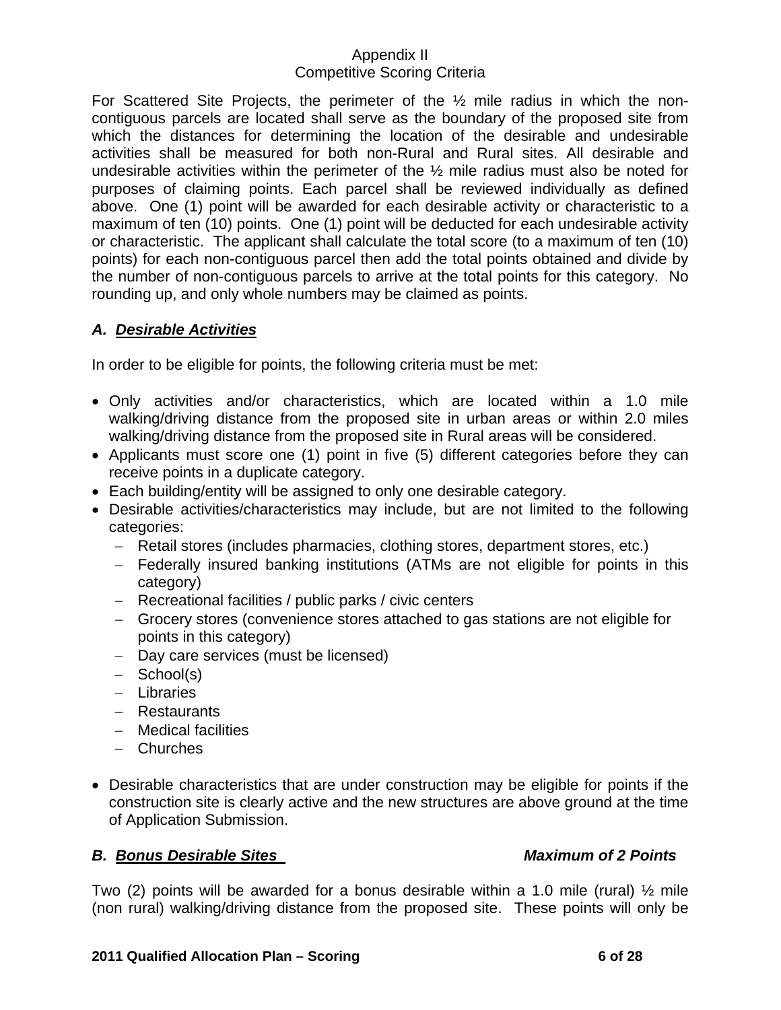For Scattered Site Projects, the perimeter of the ½ mile radius in which the noncontiguous parcels are located shall serve as the boundary of the proposed site from which the distances for determining the location of the desirable and undesirable activities shall be measured for both non-Rural and Rural sites. All desirable and undesirable activities within the perimeter of the ½ mile radius must also be noted for purposes of claiming points. Each parcel shall be reviewed individually as defined above. One (1) point will be awarded for each desirable activity or characteristic to a maximum of ten (10) points. One (1) point will be deducted for each undesirable activity or characteristic. The applicant shall calculate the total score (to a maximum of ten (10) points) for each non-contiguous parcel then add the total points obtained and divide by the number of non-contiguous parcels to arrive at the total points for this category. No rounding up, and only whole numbers may be claimed as points.

## *A. Desirable Activities*

In order to be eligible for points, the following criteria must be met:

- Only activities and/or characteristics, which are located within a 1.0 mile walking/driving distance from the proposed site in urban areas or within 2.0 miles walking/driving distance from the proposed site in Rural areas will be considered.
- Applicants must score one (1) point in five (5) different categories before they can receive points in a duplicate category.
- Each building/entity will be assigned to only one desirable category.
- Desirable activities/characteristics may include, but are not limited to the following categories:
	- − Retail stores (includes pharmacies, clothing stores, department stores, etc.)
	- − Federally insured banking institutions (ATMs are not eligible for points in this category)
	- − Recreational facilities / public parks / civic centers
	- − Grocery stores (convenience stores attached to gas stations are not eligible for points in this category)
	- − Day care services (must be licensed)
	- − School(s)
	- − Libraries
	- − Restaurants
	- − Medical facilities
	- − Churches
- Desirable characteristics that are under construction may be eligible for points if the construction site is clearly active and the new structures are above ground at the time of Application Submission.

### **B. Bonus Desirable Sites Access Access Access Maximum of 2 Points**

Two (2) points will be awarded for a bonus desirable within a 1.0 mile (rural)  $\frac{1}{2}$  mile (non rural) walking/driving distance from the proposed site. These points will only be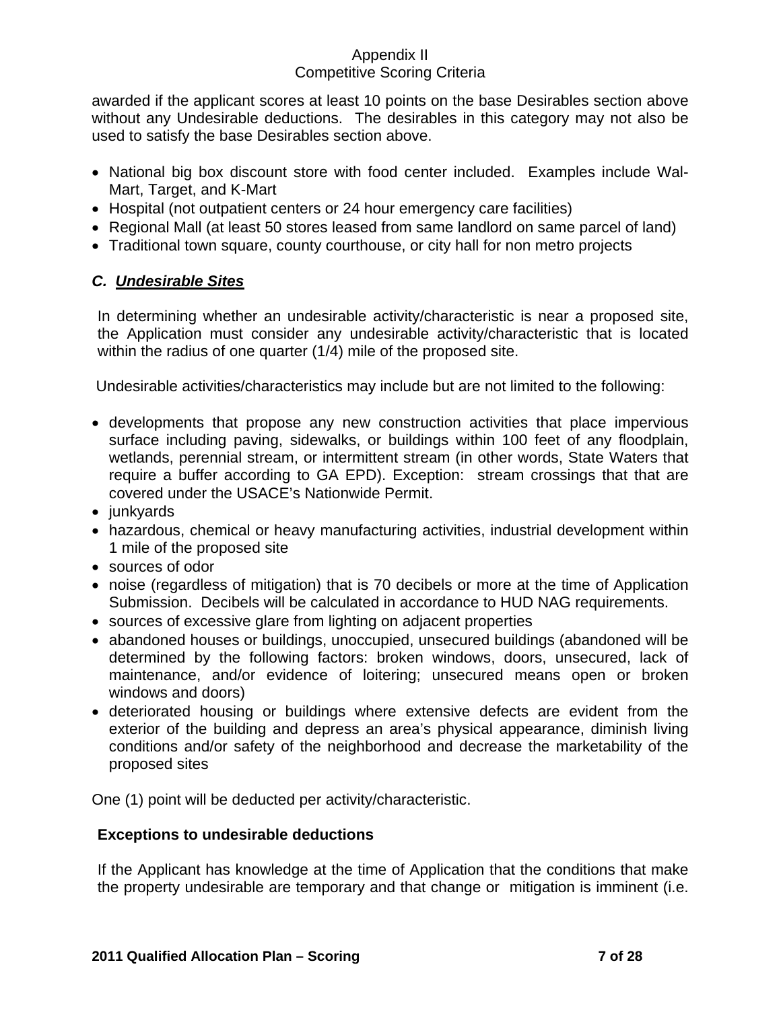awarded if the applicant scores at least 10 points on the base Desirables section above without any Undesirable deductions. The desirables in this category may not also be used to satisfy the base Desirables section above.

- National big box discount store with food center included. Examples include Wal-Mart, Target, and K-Mart
- Hospital (not outpatient centers or 24 hour emergency care facilities)
- Regional Mall (at least 50 stores leased from same landlord on same parcel of land)
- Traditional town square, county courthouse, or city hall for non metro projects

## *C. Undesirable Sites*

In determining whether an undesirable activity/characteristic is near a proposed site, the Application must consider any undesirable activity/characteristic that is located within the radius of one quarter (1/4) mile of the proposed site.

Undesirable activities/characteristics may include but are not limited to the following:

- developments that propose any new construction activities that place impervious surface including paving, sidewalks, or buildings within 100 feet of any floodplain, wetlands, perennial stream, or intermittent stream (in other words, State Waters that require a buffer according to GA EPD). Exception: stream crossings that that are covered under the USACE's Nationwide Permit.
- junkyards
- hazardous, chemical or heavy manufacturing activities, industrial development within 1 mile of the proposed site
- sources of odor
- noise (regardless of mitigation) that is 70 decibels or more at the time of Application Submission. Decibels will be calculated in accordance to HUD NAG requirements.
- sources of excessive glare from lighting on adjacent properties
- abandoned houses or buildings, unoccupied, unsecured buildings (abandoned will be determined by the following factors: broken windows, doors, unsecured, lack of maintenance, and/or evidence of loitering; unsecured means open or broken windows and doors)
- deteriorated housing or buildings where extensive defects are evident from the exterior of the building and depress an area's physical appearance, diminish living conditions and/or safety of the neighborhood and decrease the marketability of the proposed sites

One (1) point will be deducted per activity/characteristic.

## **Exceptions to undesirable deductions**

If the Applicant has knowledge at the time of Application that the conditions that make the property undesirable are temporary and that change or mitigation is imminent (i.e.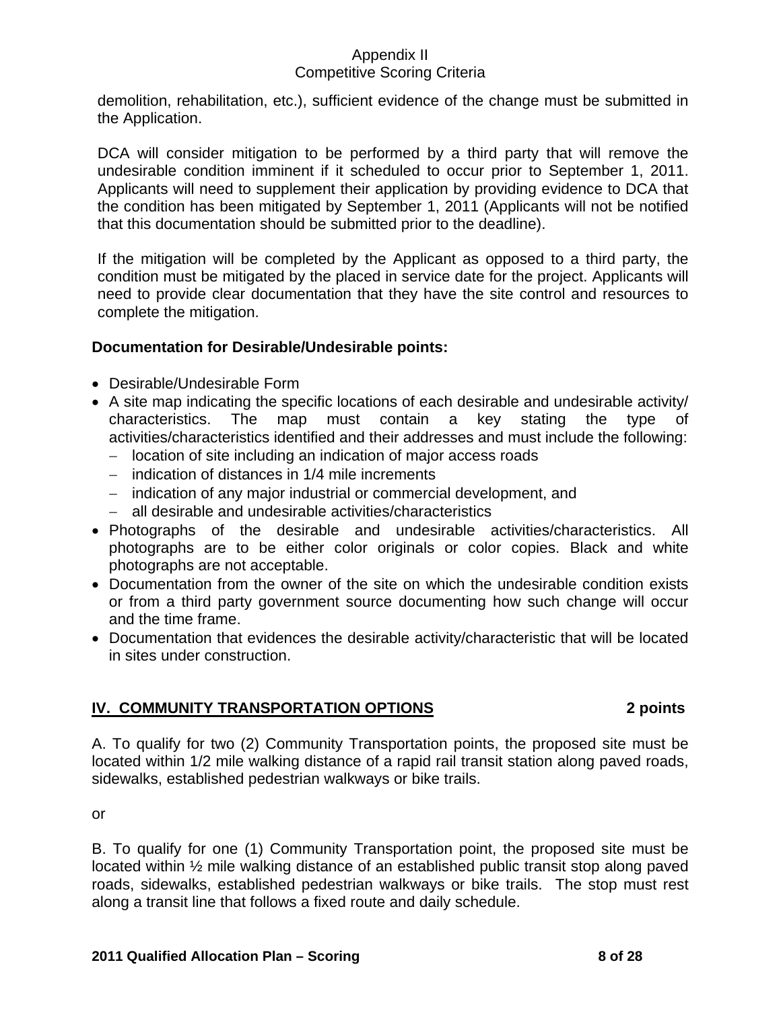demolition, rehabilitation, etc.), sufficient evidence of the change must be submitted in the Application.

DCA will consider mitigation to be performed by a third party that will remove the undesirable condition imminent if it scheduled to occur prior to September 1, 2011. Applicants will need to supplement their application by providing evidence to DCA that the condition has been mitigated by September 1, 2011 (Applicants will not be notified that this documentation should be submitted prior to the deadline).

If the mitigation will be completed by the Applicant as opposed to a third party, the condition must be mitigated by the placed in service date for the project. Applicants will need to provide clear documentation that they have the site control and resources to complete the mitigation.

# **Documentation for Desirable/Undesirable points:**

- Desirable/Undesirable Form
- A site map indicating the specific locations of each desirable and undesirable activity/ characteristics. The map must contain a key stating the type of activities/characteristics identified and their addresses and must include the following:
	- − location of site including an indication of major access roads
	- − indication of distances in 1/4 mile increments
	- − indication of any major industrial or commercial development, and
	- − all desirable and undesirable activities/characteristics
- Photographs of the desirable and undesirable activities/characteristics. All photographs are to be either color originals or color copies. Black and white photographs are not acceptable.
- Documentation from the owner of the site on which the undesirable condition exists or from a third party government source documenting how such change will occur and the time frame.
- Documentation that evidences the desirable activity/characteristic that will be located in sites under construction.

# **IV. COMMUNITY TRANSPORTATION OPTIONS****2 points**

A. To qualify for two (2) Community Transportation points, the proposed site must be located within 1/2 mile walking distance of a rapid rail transit station along paved roads, sidewalks, established pedestrian walkways or bike trails.

or

B. To qualify for one (1) Community Transportation point, the proposed site must be located within ½ mile walking distance of an established public transit stop along paved roads, sidewalks, established pedestrian walkways or bike trails. The stop must rest along a transit line that follows a fixed route and daily schedule.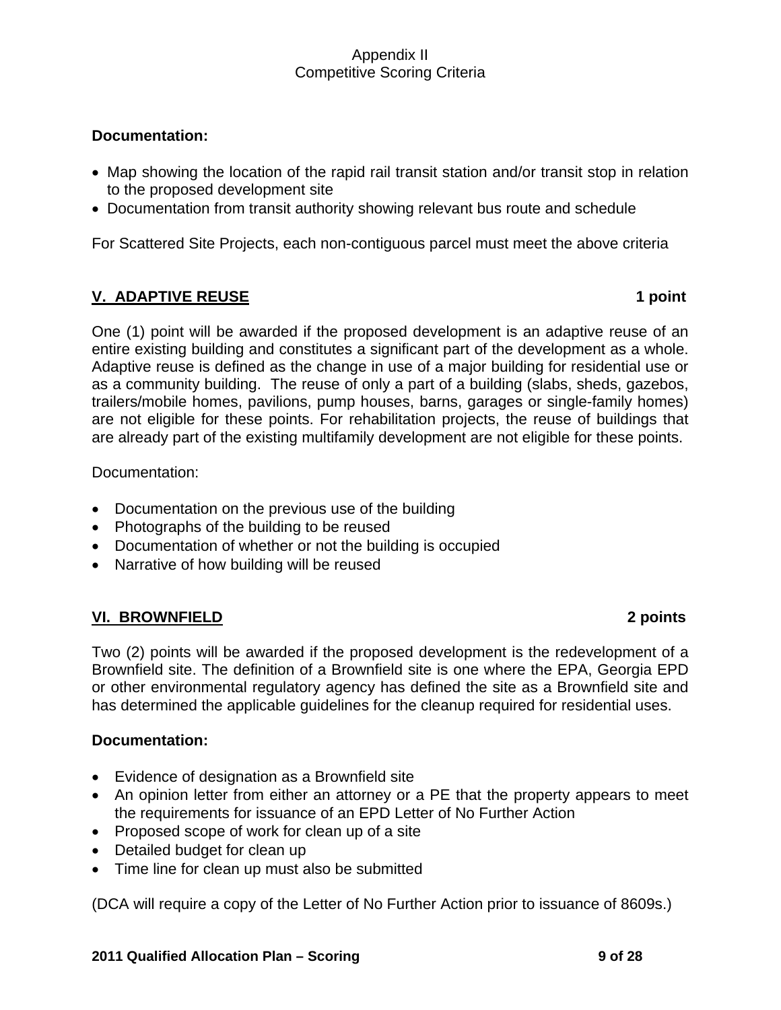## **Documentation:**

- Map showing the location of the rapid rail transit station and/or transit stop in relation to the proposed development site
- Documentation from transit authority showing relevant bus route and schedule

For Scattered Site Projects, each non-contiguous parcel must meet the above criteria

## **V. ADAPTIVE REUSE** 1 point

One (1) point will be awarded if the proposed development is an adaptive reuse of an entire existing building and constitutes a significant part of the development as a whole. Adaptive reuse is defined as the change in use of a major building for residential use or as a community building. The reuse of only a part of a building (slabs, sheds, gazebos, trailers/mobile homes, pavilions, pump houses, barns, garages or single-family homes) are not eligible for these points. For rehabilitation projects, the reuse of buildings that are already part of the existing multifamily development are not eligible for these points.

Documentation:

- Documentation on the previous use of the building
- Photographs of the building to be reused
- Documentation of whether or not the building is occupied
- Narrative of how building will be reused

## **VI. BROWNFIELD 2 points**

Two (2) points will be awarded if the proposed development is the redevelopment of a Brownfield site. The definition of a Brownfield site is one where the EPA, Georgia EPD or other environmental regulatory agency has defined the site as a Brownfield site and has determined the applicable guidelines for the cleanup required for residential uses.

### **Documentation:**

- Evidence of designation as a Brownfield site
- An opinion letter from either an attorney or a PE that the property appears to meet the requirements for issuance of an EPD Letter of No Further Action
- Proposed scope of work for clean up of a site
- Detailed budget for clean up
- Time line for clean up must also be submitted

(DCA will require a copy of the Letter of No Further Action prior to issuance of 8609s.)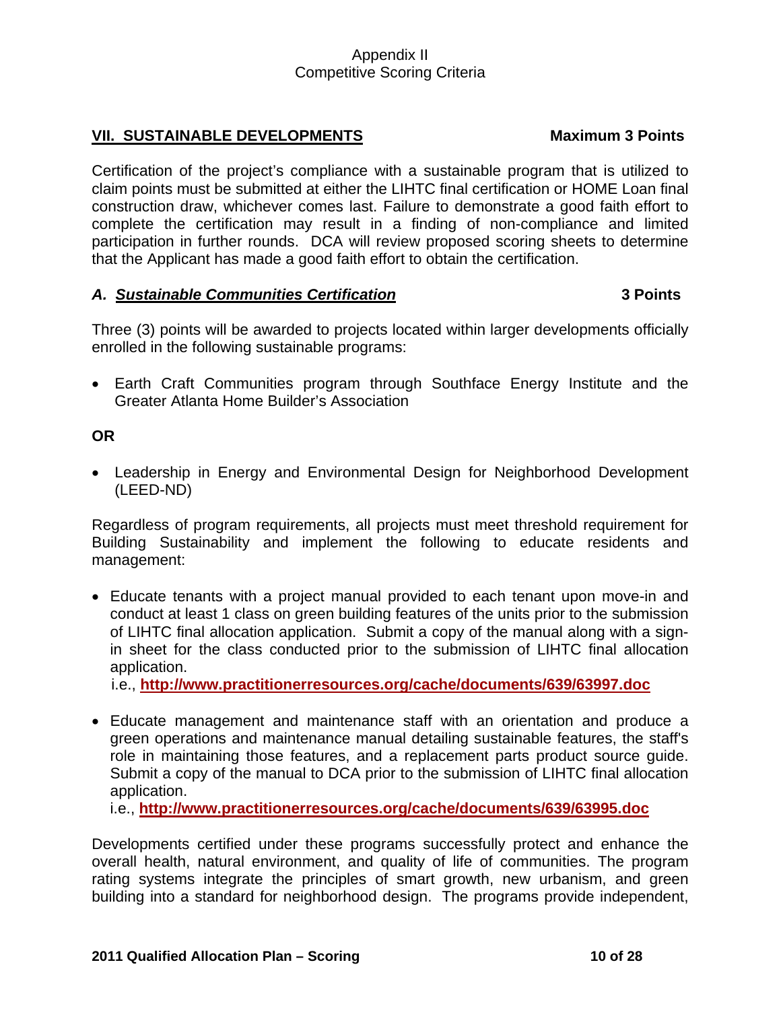## VII. SUSTAINABLE DEVELOPMENTS Maximum 3 Points

Certification of the project's compliance with a sustainable program that is utilized to claim points must be submitted at either the LIHTC final certification or HOME Loan final construction draw, whichever comes last. Failure to demonstrate a good faith effort to complete the certification may result in a finding of non-compliance and limited participation in further rounds. DCA will review proposed scoring sheets to determine that the Applicant has made a good faith effort to obtain the certification.

### *A. Sustainable Communities Certification* **3 Points**

Three (3) points will be awarded to projects located within larger developments officially enrolled in the following sustainable programs:

• Earth Craft Communities program through Southface Energy Institute and the Greater Atlanta Home Builder's Association

## **OR**

• Leadership in Energy and Environmental Design for Neighborhood Development (LEED-ND)

Regardless of program requirements, all projects must meet threshold requirement for Building Sustainability and implement the following to educate residents and management:

• Educate tenants with a project manual provided to each tenant upon move-in and conduct at least 1 class on green building features of the units prior to the submission of LIHTC final allocation application. Submit a copy of the manual along with a signin sheet for the class conducted prior to the submission of LIHTC final allocation application.

i.e., **<http://www.practitionerresources.org/cache/documents/639/63997.doc>**

• Educate management and maintenance staff with an orientation and produce a green operations and maintenance manual detailing sustainable features, the staff's role in maintaining those features, and a replacement parts product source guide. Submit a copy of the manual to DCA prior to the submission of LIHTC final allocation application.

i.e., **<http://www.practitionerresources.org/cache/documents/639/63995.doc>**

Developments certified under these programs successfully protect and enhance the overall health, natural environment, and quality of life of communities. The program rating systems integrate the principles of smart growth, new urbanism, and green building into a standard for neighborhood design. The programs provide independent,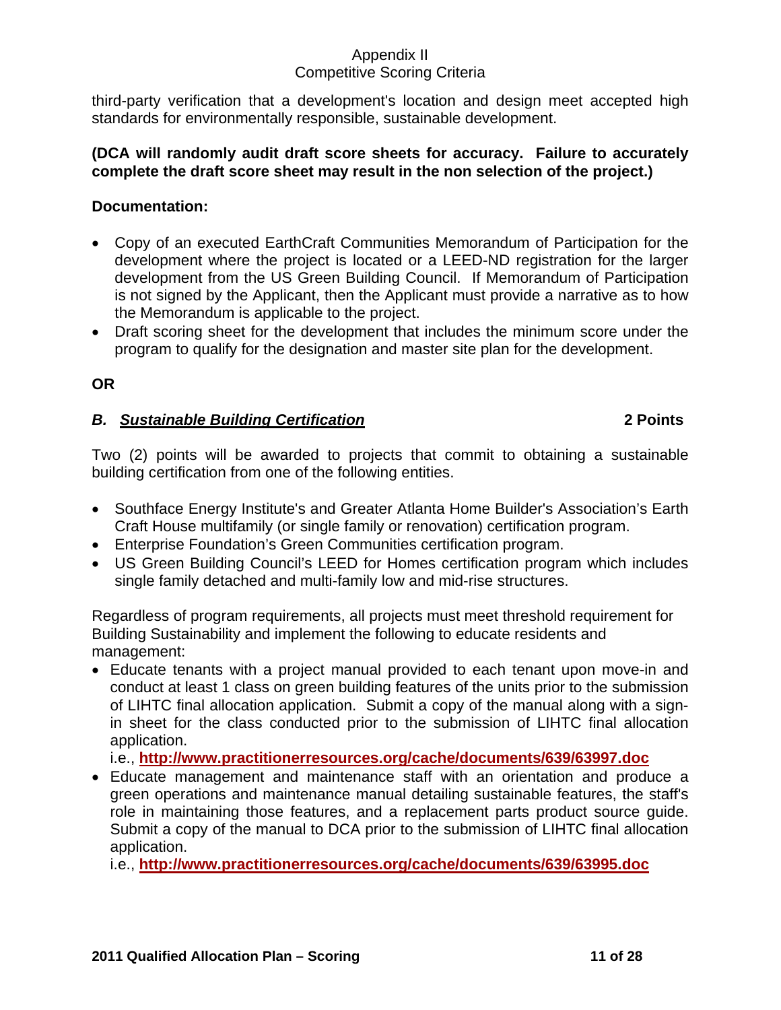# Appendix II

## Competitive Scoring Criteria

third-party verification that a development's location and design meet accepted high standards for environmentally responsible, sustainable development.

### **(DCA will randomly audit draft score sheets for accuracy. Failure to accurately complete the draft score sheet may result in the non selection of the project.)**

## **Documentation:**

- Copy of an executed EarthCraft Communities Memorandum of Participation for the development where the project is located or a LEED-ND registration for the larger development from the US Green Building Council. If Memorandum of Participation is not signed by the Applicant, then the Applicant must provide a narrative as to how the Memorandum is applicable to the project.
- Draft scoring sheet for the development that includes the minimum score under the program to qualify for the designation and master site plan for the development.

## **OR**

## *B. Sustainable Building Certification* **2 Points**

## Two (2) points will be awarded to projects that commit to obtaining a sustainable building certification from one of the following entities.

- Southface Energy Institute's and Greater Atlanta Home Builder's Association's Earth Craft House multifamily (or single family or renovation) certification program.
- Enterprise Foundation's Green Communities certification program.
- US Green Building Council's LEED for Homes certification program which includes single family detached and multi-family low and mid-rise structures.

Regardless of program requirements, all projects must meet threshold requirement for Building Sustainability and implement the following to educate residents and management:

• Educate tenants with a project manual provided to each tenant upon move-in and conduct at least 1 class on green building features of the units prior to the submission of LIHTC final allocation application. Submit a copy of the manual along with a signin sheet for the class conducted prior to the submission of LIHTC final allocation application.

i.e., **<http://www.practitionerresources.org/cache/documents/639/63997.doc>**

• Educate management and maintenance staff with an orientation and produce a green operations and maintenance manual detailing sustainable features, the staff's role in maintaining those features, and a replacement parts product source guide. Submit a copy of the manual to DCA prior to the submission of LIHTC final allocation application.

i.e., **<http://www.practitionerresources.org/cache/documents/639/63995.doc>**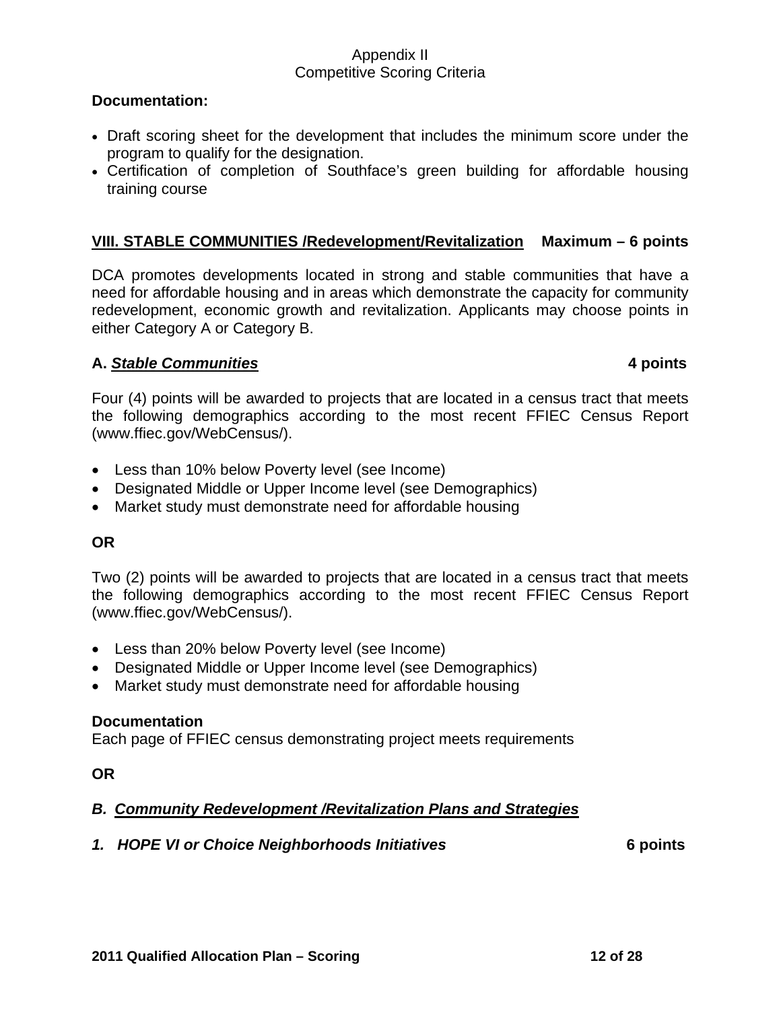#### **Documentation:**

- Draft scoring sheet for the development that includes the minimum score under the program to qualify for the designation.
- Certification of completion of Southface's green building for affordable housing training course

### **VIII. STABLE COMMUNITIES /Redevelopment/Revitalization Maximum – 6 points**

DCA promotes developments located in strong and stable communities that have a need for affordable housing and in areas which demonstrate the capacity for community redevelopment, economic growth and revitalization. Applicants may choose points in either Category A or Category B.

#### **A.** *Stable Communities* **4 points**

Four (4) points will be awarded to projects that are located in a census tract that meets the following demographics according to the most recent FFIEC Census Report (www.ffiec.gov/WebCensus/).

- Less than 10% below Poverty level (see Income)
- Designated Middle or Upper Income level (see Demographics)
- Market study must demonstrate need for affordable housing

#### **OR**

Two (2) points will be awarded to projects that are located in a census tract that meets the following demographics according to the most recent FFIEC Census Report (www.ffiec.gov/WebCensus/).

- Less than 20% below Poverty level (see Income)
- Designated Middle or Upper Income level (see Demographics)
- Market study must demonstrate need for affordable housing

#### **Documentation**

Each page of FFIEC census demonstrating project meets requirements

**OR** 

### *B. Community Redevelopment /Revitalization Plans and Strategies*

#### *1. HOPE VI or Choice Neighborhoods Initiatives* **6 points**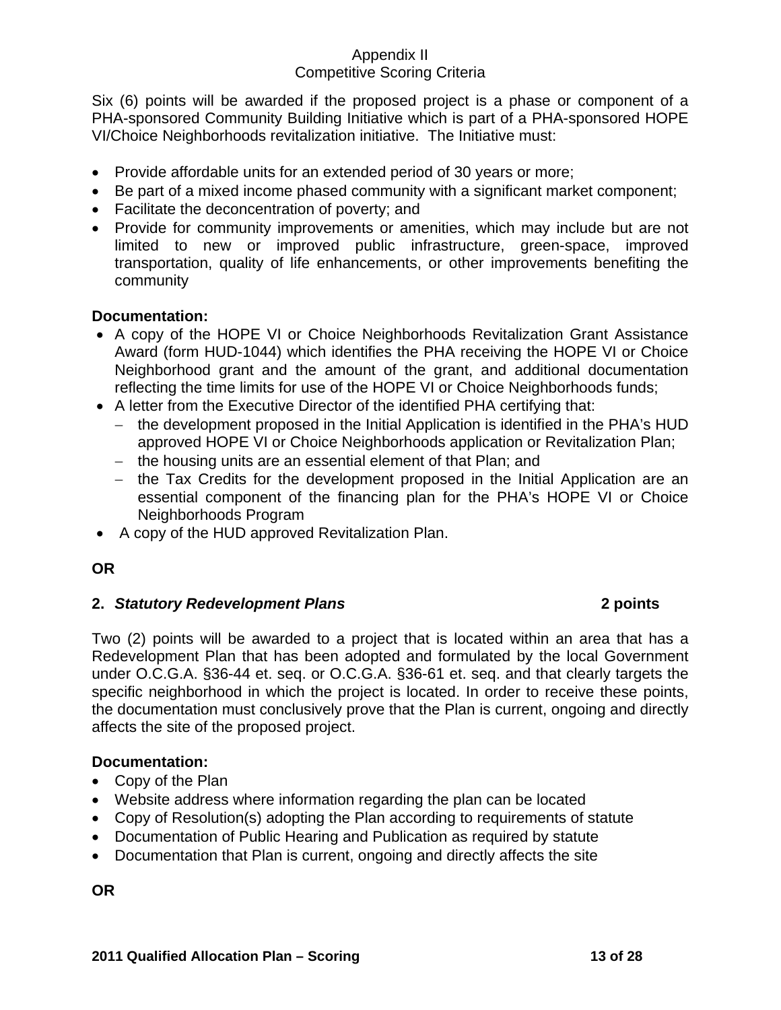Six (6) points will be awarded if the proposed project is a phase or component of a PHA-sponsored Community Building Initiative which is part of a PHA-sponsored HOPE VI/Choice Neighborhoods revitalization initiative. The Initiative must:

- Provide affordable units for an extended period of 30 years or more;
- Be part of a mixed income phased community with a significant market component;
- Facilitate the deconcentration of poverty; and
- Provide for community improvements or amenities, which may include but are not limited to new or improved public infrastructure, green-space, improved transportation, quality of life enhancements, or other improvements benefiting the community

## **Documentation:**

- A copy of the HOPE VI or Choice Neighborhoods Revitalization Grant Assistance Award (form HUD-1044) which identifies the PHA receiving the HOPE VI or Choice Neighborhood grant and the amount of the grant, and additional documentation reflecting the time limits for use of the HOPE VI or Choice Neighborhoods funds;
- A letter from the Executive Director of the identified PHA certifying that:
	- − the development proposed in the Initial Application is identified in the PHA's HUD approved HOPE VI or Choice Neighborhoods application or Revitalization Plan;
	- − the housing units are an essential element of that Plan; and
	- − the Tax Credits for the development proposed in the Initial Application are an essential component of the financing plan for the PHA's HOPE VI or Choice Neighborhoods Program
- A copy of the HUD approved Revitalization Plan.

# **OR**

# **2.** *Statutory Redevelopment Plans* **2 points**

Two (2) points will be awarded to a project that is located within an area that has a Redevelopment Plan that has been adopted and formulated by the local Government under O.C.G.A. §36-44 et. seq. or O.C.G.A. §36-61 et. seq. and that clearly targets the specific neighborhood in which the project is located. In order to receive these points, the documentation must conclusively prove that the Plan is current, ongoing and directly affects the site of the proposed project.

# **Documentation:**

- Copy of the Plan
- Website address where information regarding the plan can be located
- Copy of Resolution(s) adopting the Plan according to requirements of statute
- Documentation of Public Hearing and Publication as required by statute
- Documentation that Plan is current, ongoing and directly affects the site

**OR**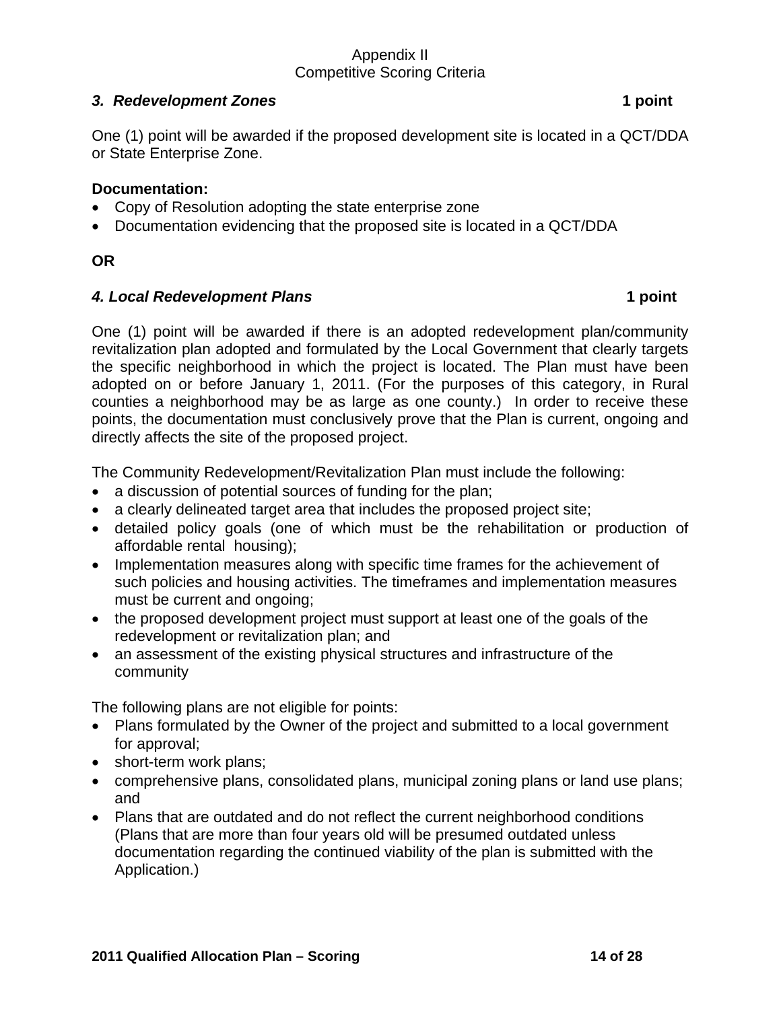## *3. Redevelopment Zones* **1 point**

One (1) point will be awarded if the proposed development site is located in a QCT/DDA or State Enterprise Zone.

### **Documentation:**

- Copy of Resolution adopting the state enterprise zone
- Documentation evidencing that the proposed site is located in a QCT/DDA

### **OR**

### *4. Local Redevelopment Plans* **1 point**

One (1) point will be awarded if there is an adopted redevelopment plan/community revitalization plan adopted and formulated by the Local Government that clearly targets the specific neighborhood in which the project is located. The Plan must have been adopted on or before January 1, 2011. (For the purposes of this category, in Rural counties a neighborhood may be as large as one county.) In order to receive these points, the documentation must conclusively prove that the Plan is current, ongoing and directly affects the site of the proposed project.

The Community Redevelopment/Revitalization Plan must include the following:

- a discussion of potential sources of funding for the plan;
- a clearly delineated target area that includes the proposed project site;
- detailed policy goals (one of which must be the rehabilitation or production of affordable rental housing);
- Implementation measures along with specific time frames for the achievement of such policies and housing activities. The timeframes and implementation measures must be current and ongoing;
- the proposed development project must support at least one of the goals of the redevelopment or revitalization plan; and
- an assessment of the existing physical structures and infrastructure of the community

The following plans are not eligible for points:

- Plans formulated by the Owner of the project and submitted to a local government for approval;
- short-term work plans;
- comprehensive plans, consolidated plans, municipal zoning plans or land use plans; and
- Plans that are outdated and do not reflect the current neighborhood conditions (Plans that are more than four years old will be presumed outdated unless documentation regarding the continued viability of the plan is submitted with the Application.)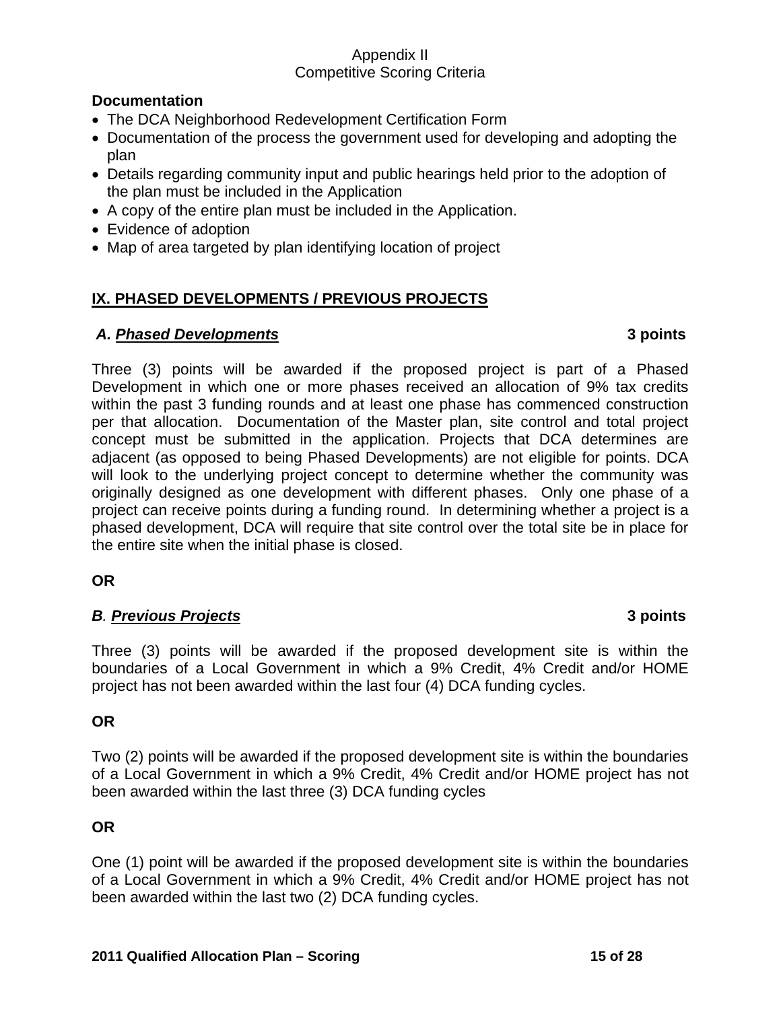## **Documentation**

- The DCA Neighborhood Redevelopment Certification Form
- Documentation of the process the government used for developing and adopting the plan
- Details regarding community input and public hearings held prior to the adoption of the plan must be included in the Application
- A copy of the entire plan must be included in the Application.
- Evidence of adoption
- Map of area targeted by plan identifying location of project

## **IX. PHASED DEVELOPMENTS / PREVIOUS PROJECTS**

## *A. Phased Developments* **3 points**

Three (3) points will be awarded if the proposed project is part of a Phased Development in which one or more phases received an allocation of 9% tax credits within the past 3 funding rounds and at least one phase has commenced construction per that allocation. Documentation of the Master plan, site control and total project concept must be submitted in the application. Projects that DCA determines are adjacent (as opposed to being Phased Developments) are not eligible for points. DCA will look to the underlying project concept to determine whether the community was originally designed as one development with different phases. Only one phase of a project can receive points during a funding round. In determining whether a project is a phased development, DCA will require that site control over the total site be in place for the entire site when the initial phase is closed.

## **OR**

## *B. Previous Projects* **3 points**

Three (3) points will be awarded if the proposed development site is within the boundaries of a Local Government in which a 9% Credit, 4% Credit and/or HOME project has not been awarded within the last four (4) DCA funding cycles.

### **OR**

Two (2) points will be awarded if the proposed development site is within the boundaries of a Local Government in which a 9% Credit, 4% Credit and/or HOME project has not been awarded within the last three (3) DCA funding cycles

## **OR**

One (1) point will be awarded if the proposed development site is within the boundaries of a Local Government in which a 9% Credit, 4% Credit and/or HOME project has not been awarded within the last two (2) DCA funding cycles.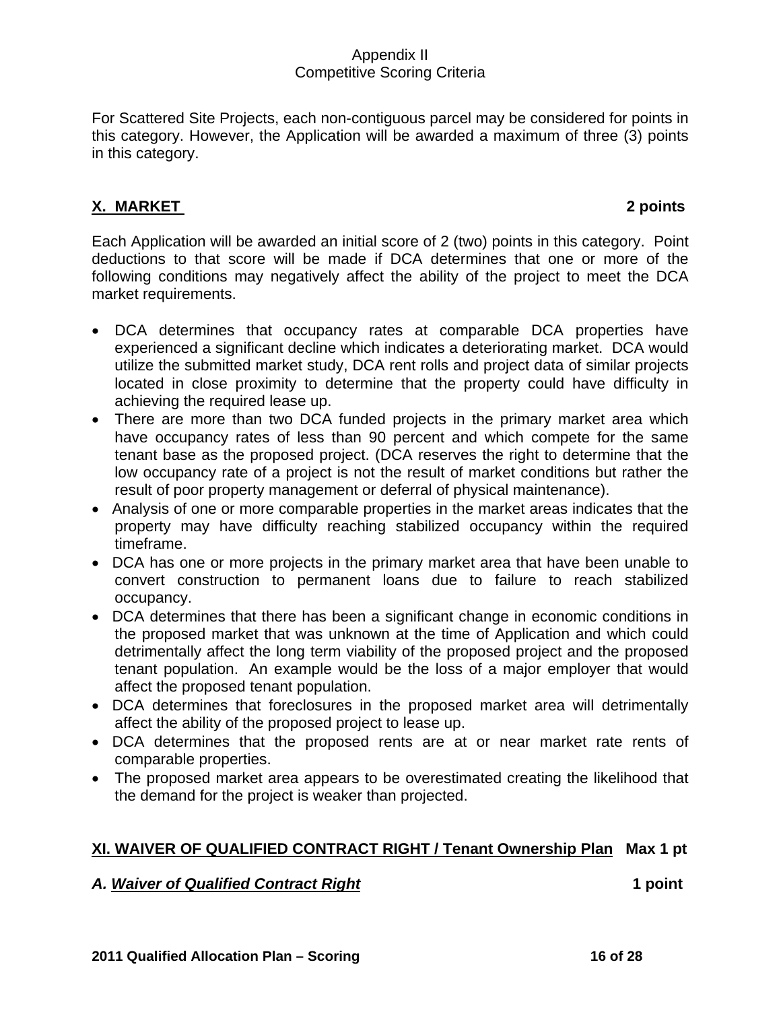For Scattered Site Projects, each non-contiguous parcel may be considered for points in this category. However, the Application will be awarded a maximum of three (3) points in this category.

# **X. MARKET 2 points**

Each Application will be awarded an initial score of 2 (two) points in this category. Point deductions to that score will be made if DCA determines that one or more of the following conditions may negatively affect the ability of the project to meet the DCA market requirements.

- DCA determines that occupancy rates at comparable DCA properties have experienced a significant decline which indicates a deteriorating market. DCA would utilize the submitted market study, DCA rent rolls and project data of similar projects located in close proximity to determine that the property could have difficulty in achieving the required lease up.
- There are more than two DCA funded projects in the primary market area which have occupancy rates of less than 90 percent and which compete for the same tenant base as the proposed project. (DCA reserves the right to determine that the low occupancy rate of a project is not the result of market conditions but rather the result of poor property management or deferral of physical maintenance).
- Analysis of one or more comparable properties in the market areas indicates that the property may have difficulty reaching stabilized occupancy within the required timeframe.
- DCA has one or more projects in the primary market area that have been unable to convert construction to permanent loans due to failure to reach stabilized occupancy.
- DCA determines that there has been a significant change in economic conditions in the proposed market that was unknown at the time of Application and which could detrimentally affect the long term viability of the proposed project and the proposed tenant population. An example would be the loss of a major employer that would affect the proposed tenant population.
- DCA determines that foreclosures in the proposed market area will detrimentally affect the ability of the proposed project to lease up.
- DCA determines that the proposed rents are at or near market rate rents of comparable properties.
- The proposed market area appears to be overestimated creating the likelihood that the demand for the project is weaker than projected.

# **XI. WAIVER OF QUALIFIED CONTRACT RIGHT / Tenant Ownership Plan Max 1 pt**

### *A. Waiver of Qualified Contract Right* **1 point**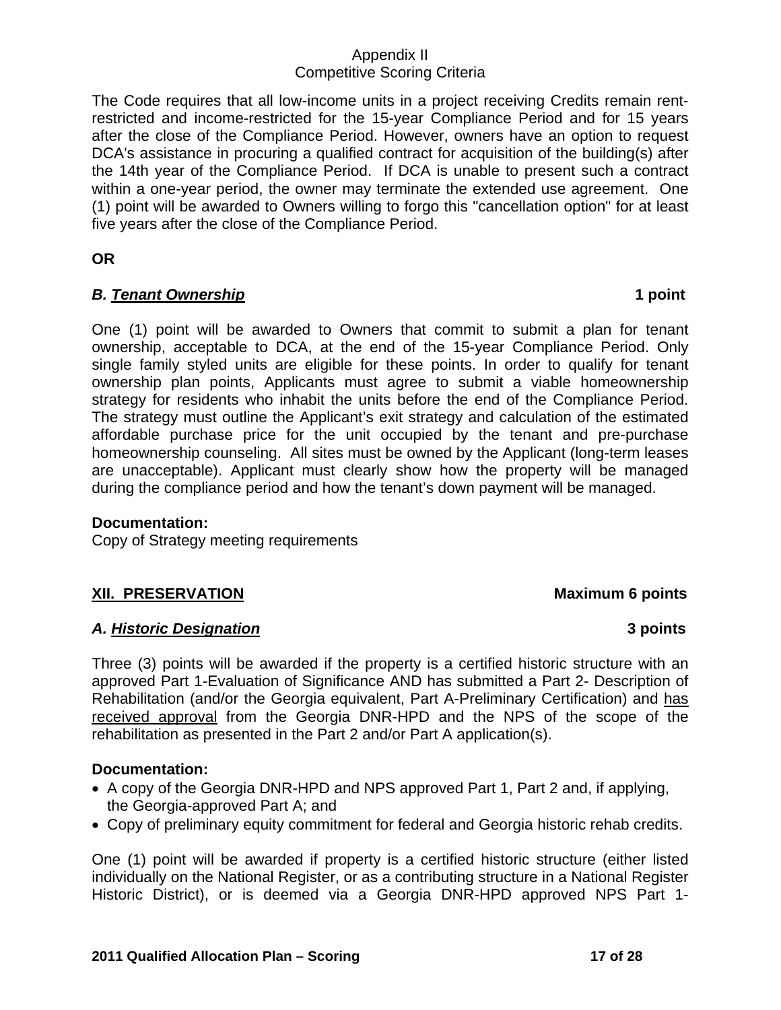The Code requires that all low-income units in a project receiving Credits remain rentrestricted and income-restricted for the 15-year Compliance Period and for 15 years after the close of the Compliance Period. However, owners have an option to request DCA's assistance in procuring a qualified contract for acquisition of the building(s) after the 14th year of the Compliance Period. If DCA is unable to present such a contract within a one-year period, the owner may terminate the extended use agreement. One (1) point will be awarded to Owners willing to forgo this "cancellation option" for at least five years after the close of the Compliance Period.

**OR** 

## *B. Tenant Ownership* **1 point**

One (1) point will be awarded to Owners that commit to submit a plan for tenant ownership, acceptable to DCA, at the end of the 15-year Compliance Period. Only single family styled units are eligible for these points. In order to qualify for tenant ownership plan points, Applicants must agree to submit a viable homeownership strategy for residents who inhabit the units before the end of the Compliance Period. The strategy must outline the Applicant's exit strategy and calculation of the estimated affordable purchase price for the unit occupied by the tenant and pre-purchase homeownership counseling. All sites must be owned by the Applicant (long-term leases are unacceptable). Applicant must clearly show how the property will be managed during the compliance period and how the tenant's down payment will be managed.

### **Documentation:**

Copy of Strategy meeting requirements

# **XII. PRESERVATION MAXIMUM 6 points**

### *A. Historic Designation* **3 points**

Three (3) points will be awarded if the property is a certified historic structure with an approved Part 1-Evaluation of Significance AND has submitted a Part 2- Description of Rehabilitation (and/or the Georgia equivalent, Part A-Preliminary Certification) and has received approval from the Georgia DNR-HPD and the NPS of the scope of the rehabilitation as presented in the Part 2 and/or Part A application(s).

### **Documentation:**

- A copy of the Georgia DNR-HPD and NPS approved Part 1, Part 2 and, if applying, the Georgia-approved Part A; and
- Copy of preliminary equity commitment for federal and Georgia historic rehab credits.

One (1) point will be awarded if property is a certified historic structure (either listed individually on the National Register, or as a contributing structure in a National Register Historic District), or is deemed via a Georgia DNR-HPD approved NPS Part 1-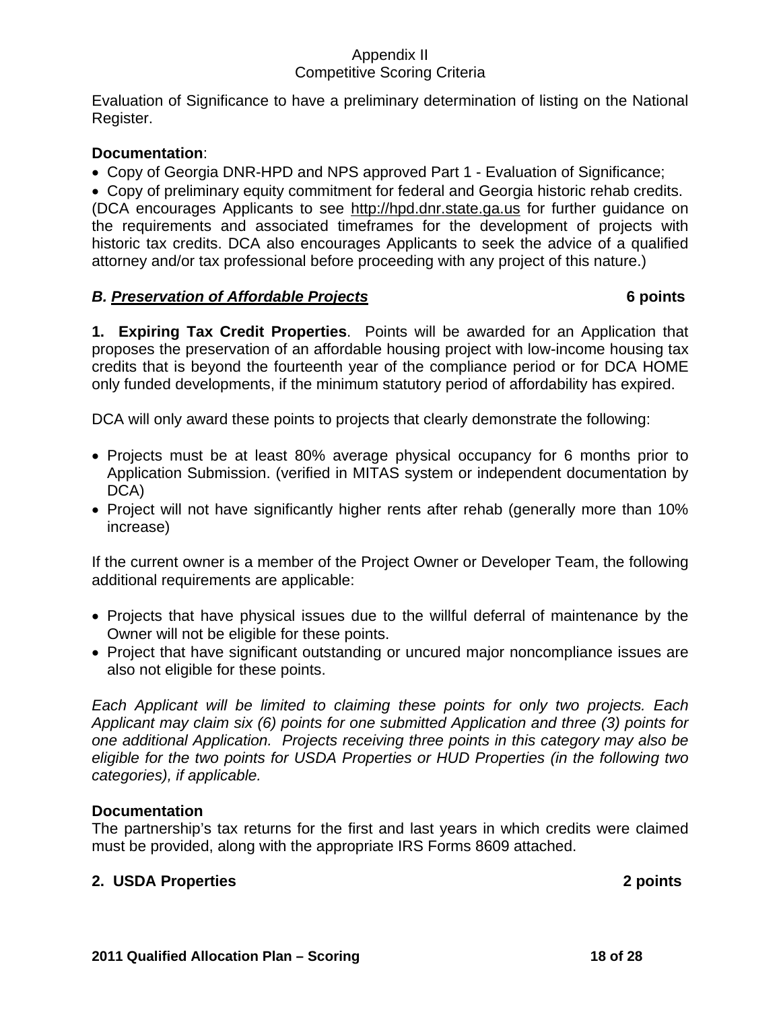Evaluation of Significance to have a preliminary determination of listing on the National Register.

## **Documentation**:

• Copy of Georgia DNR-HPD and NPS approved Part 1 - Evaluation of Significance;

• Copy of preliminary equity commitment for federal and Georgia historic rehab credits. (DCA encourages Applicants to see [http://hpd.dnr.state.ga.us](http://hpd.dnr.state.ga.us/) for further guidance on the requirements and associated timeframes for the development of projects with historic tax credits. DCA also encourages Applicants to seek the advice of a qualified attorney and/or tax professional before proceeding with any project of this nature.)

## *B. Preservation of Affordable Projects* **6 points**

**1. Expiring Tax Credit Properties**. Points will be awarded for an Application that proposes the preservation of an affordable housing project with low-income housing tax credits that is beyond the fourteenth year of the compliance period or for DCA HOME only funded developments, if the minimum statutory period of affordability has expired.

DCA will only award these points to projects that clearly demonstrate the following:

- Projects must be at least 80% average physical occupancy for 6 months prior to Application Submission. (verified in MITAS system or independent documentation by DCA)
- Project will not have significantly higher rents after rehab (generally more than 10% increase)

If the current owner is a member of the Project Owner or Developer Team, the following additional requirements are applicable:

- Projects that have physical issues due to the willful deferral of maintenance by the Owner will not be eligible for these points.
- Project that have significant outstanding or uncured major noncompliance issues are also not eligible for these points.

*Each Applicant will be limited to claiming these points for only two projects. Each Applicant may claim six (6) points for one submitted Application and three (3) points for one additional Application. Projects receiving three points in this category may also be eligible for the two points for USDA Properties or HUD Properties (in the following two categories), if applicable.* 

## **Documentation**

The partnership's tax returns for the first and last years in which credits were claimed must be provided, along with the appropriate IRS Forms 8609 attached.

## **2. USDA Properties 2 points**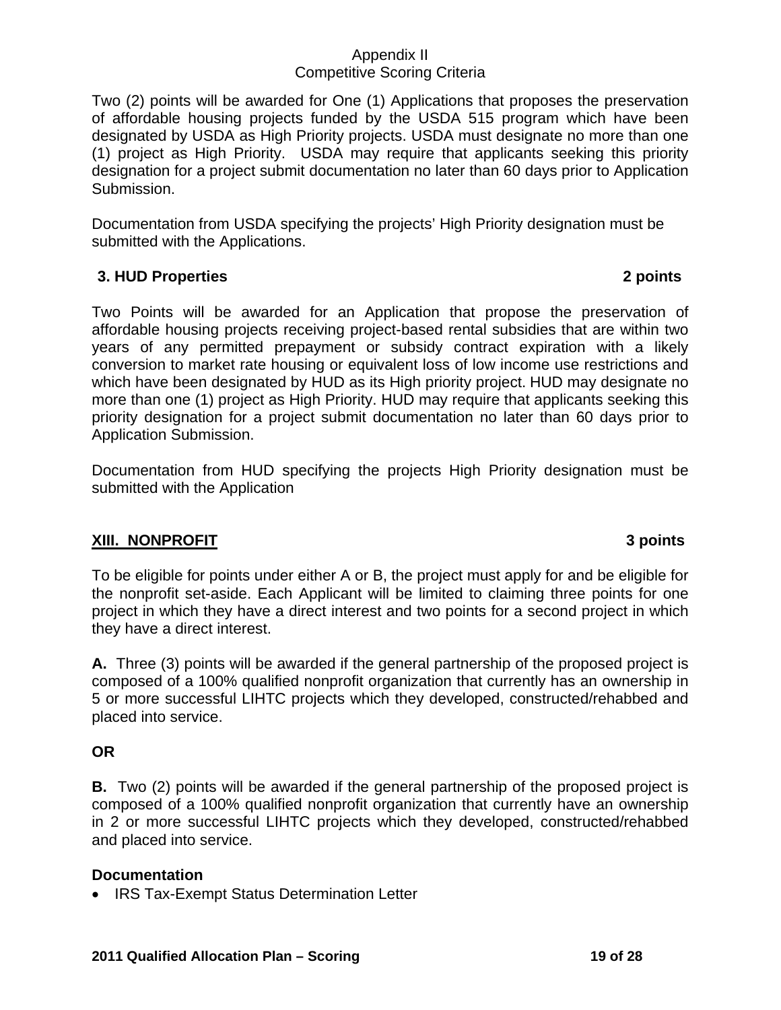Two (2) points will be awarded for One (1) Applications that proposes the preservation of affordable housing projects funded by the USDA 515 program which have been designated by USDA as High Priority projects. USDA must designate no more than one (1) project as High Priority. USDA may require that applicants seeking this priority designation for a project submit documentation no later than 60 days prior to Application Submission.

Documentation from USDA specifying the projects' High Priority designation must be submitted with the Applications.

## **3. HUD Properties 2 points**

Two Points will be awarded for an Application that propose the preservation of affordable housing projects receiving project-based rental subsidies that are within two years of any permitted prepayment or subsidy contract expiration with a likely conversion to market rate housing or equivalent loss of low income use restrictions and which have been designated by HUD as its High priority project. HUD may designate no more than one (1) project as High Priority. HUD may require that applicants seeking this priority designation for a project submit documentation no later than 60 days prior to Application Submission.

Documentation from HUD specifying the projects High Priority designation must be submitted with the Application

### **XIII. NONPROFIT 3 points**

### To be eligible for points under either A or B, the project must apply for and be eligible for the nonprofit set-aside. Each Applicant will be limited to claiming three points for one project in which they have a direct interest and two points for a second project in which they have a direct interest.

**A.** Three (3) points will be awarded if the general partnership of the proposed project is composed of a 100% qualified nonprofit organization that currently has an ownership in 5 or more successful LIHTC projects which they developed, constructed/rehabbed and placed into service.

## **OR**

**B.** Two (2) points will be awarded if the general partnership of the proposed project is composed of a 100% qualified nonprofit organization that currently have an ownership in 2 or more successful LIHTC projects which they developed, constructed/rehabbed and placed into service.

### **Documentation**

• IRS Tax-Exempt Status Determination Letter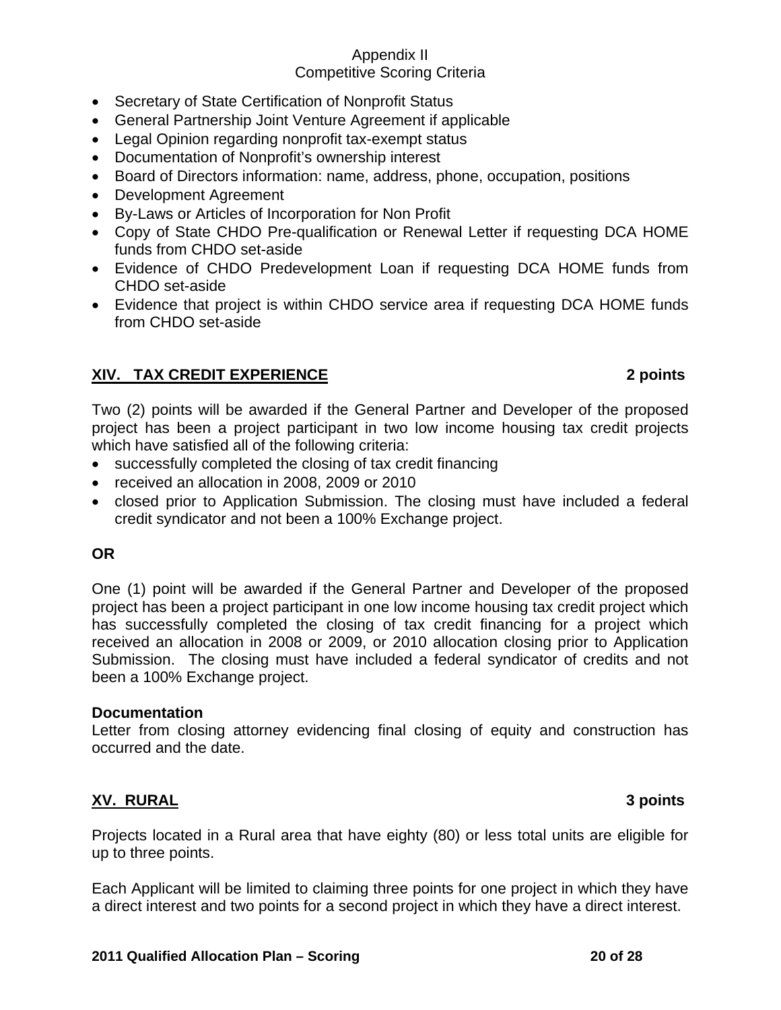- Secretary of State Certification of Nonprofit Status
- General Partnership Joint Venture Agreement if applicable
- Legal Opinion regarding nonprofit tax-exempt status
- Documentation of Nonprofit's ownership interest
- Board of Directors information: name, address, phone, occupation, positions
- Development Agreement
- By-Laws or Articles of Incorporation for Non Profit
- Copy of State CHDO Pre-qualification or Renewal Letter if requesting DCA HOME funds from CHDO set-aside
- Evidence of CHDO Predevelopment Loan if requesting DCA HOME funds from CHDO set-aside
- Evidence that project is within CHDO service area if requesting DCA HOME funds from CHDO set-aside

## **XIV. TAX CREDIT EXPERIENCE 2 points**

Two (2) points will be awarded if the General Partner and Developer of the proposed project has been a project participant in two low income housing tax credit projects which have satisfied all of the following criteria:

- successfully completed the closing of tax credit financing
- received an allocation in 2008, 2009 or 2010
- closed prior to Application Submission. The closing must have included a federal credit syndicator and not been a 100% Exchange project.

### **OR**

One (1) point will be awarded if the General Partner and Developer of the proposed project has been a project participant in one low income housing tax credit project which has successfully completed the closing of tax credit financing for a project which received an allocation in 2008 or 2009, or 2010 allocation closing prior to Application Submission. The closing must have included a federal syndicator of credits and not been a 100% Exchange project.

### **Documentation**

Letter from closing attorney evidencing final closing of equity and construction has occurred and the date.

### **XV. RURAL 3 points**

Projects located in a Rural area that have eighty (80) or less total units are eligible for up to three points.

Each Applicant will be limited to claiming three points for one project in which they have a direct interest and two points for a second project in which they have a direct interest.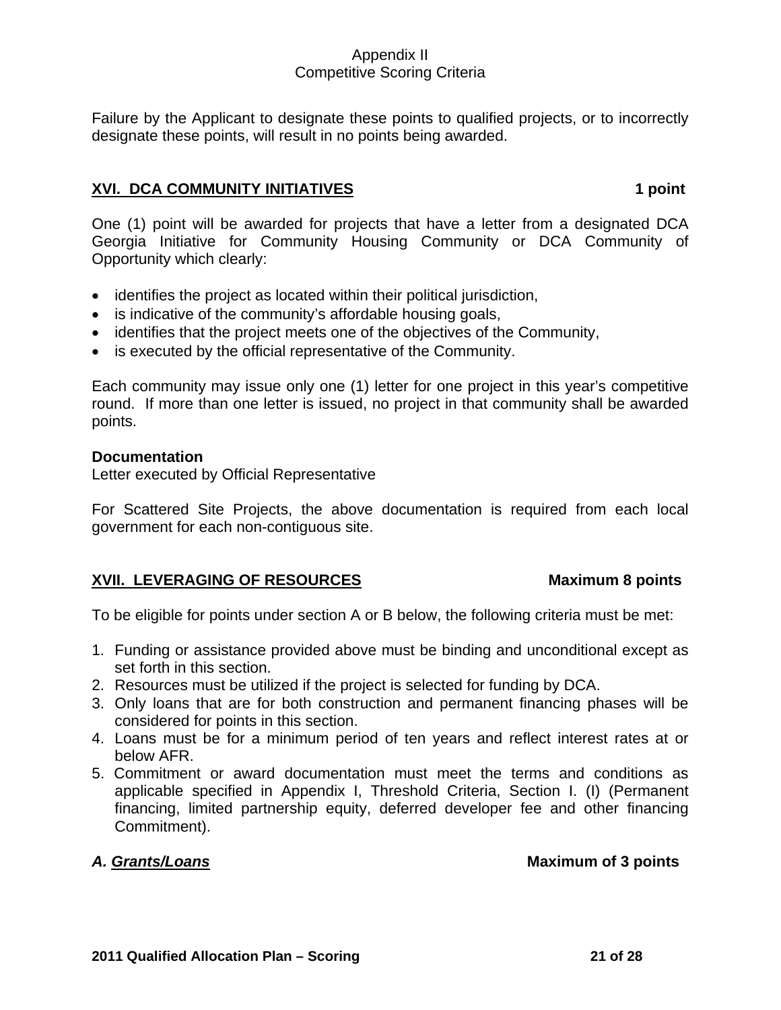Failure by the Applicant to designate these points to qualified projects, or to incorrectly designate these points, will result in no points being awarded.

## **XVI. DCA COMMUNITY INITIATIVES** 1 point

One (1) point will be awarded for projects that have a letter from a designated DCA Georgia Initiative for Community Housing Community or DCA Community of Opportunity which clearly:

- identifies the project as located within their political jurisdiction,
- is indicative of the community's affordable housing goals,
- identifies that the project meets one of the objectives of the Community,
- is executed by the official representative of the Community.

Each community may issue only one (1) letter for one project in this year's competitive round. If more than one letter is issued, no project in that community shall be awarded points.

#### **Documentation**

Letter executed by Official Representative

For Scattered Site Projects, the above documentation is required from each local government for each non-contiguous site.

## **XVII. LEVERAGING OF RESOURCES** Maximum 8 points

To be eligible for points under section A or B below, the following criteria must be met:

- 1. Funding or assistance provided above must be binding and unconditional except as set forth in this section.
- 2. Resources must be utilized if the project is selected for funding by DCA.
- 3. Only loans that are for both construction and permanent financing phases will be considered for points in this section.
- 4. Loans must be for a minimum period of ten years and reflect interest rates at or below AFR.
- 5. Commitment or award documentation must meet the terms and conditions as applicable specified in Appendix I, Threshold Criteria, Section I. (I) (Permanent financing, limited partnership equity, deferred developer fee and other financing Commitment).

### A. Grants/Loans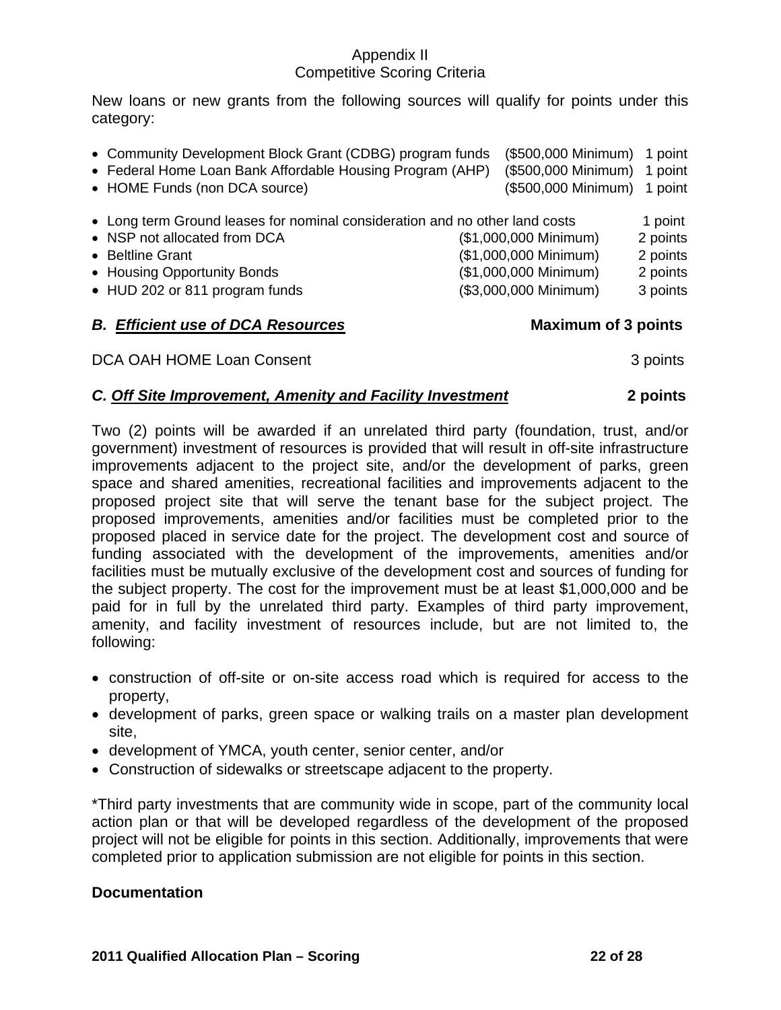New loans or new grants from the following sources will qualify for points under this category:

| • Long term Ground leases for nominal consideration and no other land costs<br>• NSP not allocated from DCA<br>• Beltline Grant | (\$1,000,000 Minimum)<br>(\$1,000,000 Minimum)                               | 1 point<br>2 points<br>2 points |
|---------------------------------------------------------------------------------------------------------------------------------|------------------------------------------------------------------------------|---------------------------------|
| • Housing Opportunity Bonds<br>• HUD 202 or 811 program funds<br><b>B. Efficient use of DCA Resources</b>                       | (\$1,000,000 Minimum)<br>(\$3,000,000 Minimum)<br><b>Maximum of 3 points</b> | 2 points<br>3 points            |

DCA OAH HOME Loan Consent 3 points 3 points

### *C. Off Site Improvement, Amenity and Facility Investment* **2 points**

Two (2) points will be awarded if an unrelated third party (foundation, trust, and/or government) investment of resources is provided that will result in off-site infrastructure improvements adjacent to the project site, and/or the development of parks, green space and shared amenities, recreational facilities and improvements adjacent to the proposed project site that will serve the tenant base for the subject project. The proposed improvements, amenities and/or facilities must be completed prior to the proposed placed in service date for the project. The development cost and source of funding associated with the development of the improvements, amenities and/or facilities must be mutually exclusive of the development cost and sources of funding for the subject property. The cost for the improvement must be at least \$1,000,000 and be paid for in full by the unrelated third party. Examples of third party improvement, amenity, and facility investment of resources include, but are not limited to, the following:

- construction of off-site or on-site access road which is required for access to the property,
- development of parks, green space or walking trails on a master plan development site,
- development of YMCA, youth center, senior center, and/or
- Construction of sidewalks or streetscape adjacent to the property.

\*Third party investments that are community wide in scope, part of the community local action plan or that will be developed regardless of the development of the proposed project will not be eligible for points in this section. Additionally, improvements that were completed prior to application submission are not eligible for points in this section.

### **Documentation**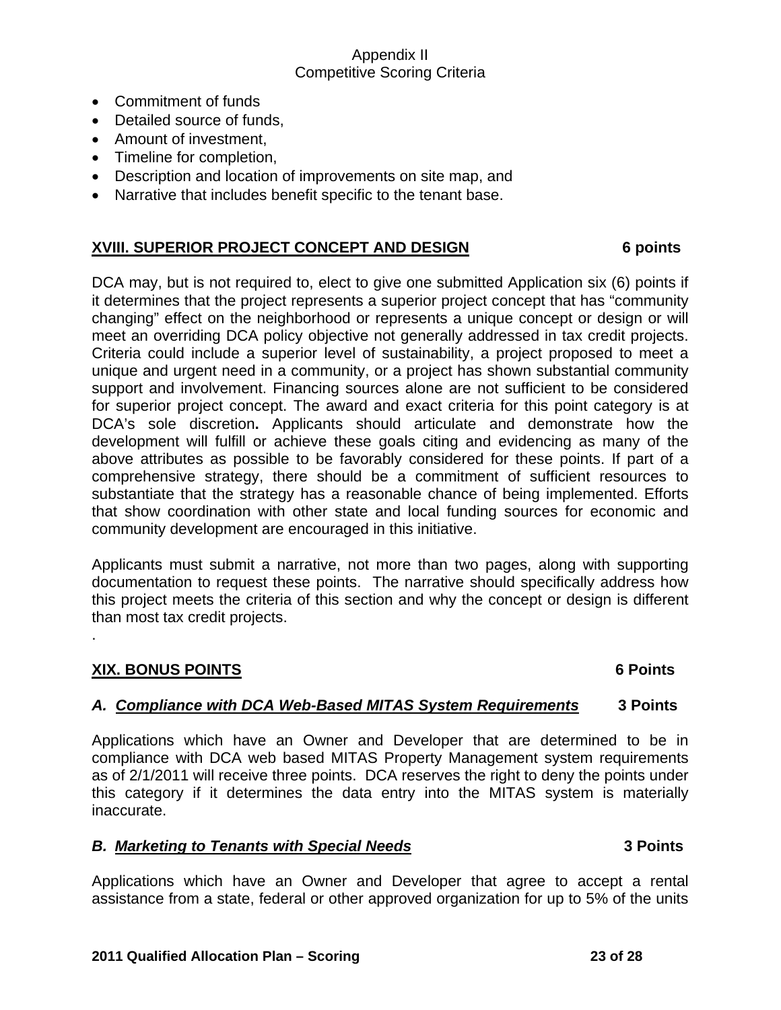- Commitment of funds
- Detailed source of funds,
- Amount of investment,
- Timeline for completion,
- Description and location of improvements on site map, and
- Narrative that includes benefit specific to the tenant base.

## **XVIII. SUPERIOR PROJECT CONCEPT AND DESIGN 6 points**

DCA may, but is not required to, elect to give one submitted Application six (6) points if it determines that the project represents a superior project concept that has "community changing" effect on the neighborhood or represents a unique concept or design or will meet an overriding DCA policy objective not generally addressed in tax credit projects. Criteria could include a superior level of sustainability, a project proposed to meet a unique and urgent need in a community, or a project has shown substantial community support and involvement. Financing sources alone are not sufficient to be considered for superior project concept. The award and exact criteria for this point category is at DCA's sole discretion**.** Applicants should articulate and demonstrate how the development will fulfill or achieve these goals citing and evidencing as many of the above attributes as possible to be favorably considered for these points. If part of a comprehensive strategy, there should be a commitment of sufficient resources to substantiate that the strategy has a reasonable chance of being implemented. Efforts that show coordination with other state and local funding sources for economic and community development are encouraged in this initiative.

Applicants must submit a narrative, not more than two pages, along with supporting documentation to request these points. The narrative should specifically address how this project meets the criteria of this section and why the concept or design is different than most tax credit projects.

### **XIX. BONUS POINTS 6 Points**

.

### *A. Compliance with DCA Web-Based MITAS System Requirements* **3 Points**

Applications which have an Owner and Developer that are determined to be in compliance with DCA web based MITAS Property Management system requirements as of 2/1/2011 will receive three points. DCA reserves the right to deny the points under this category if it determines the data entry into the MITAS system is materially inaccurate.

### *B. Marketing to Tenants with Special Needs* **3 Points**

Applications which have an Owner and Developer that agree to accept a rental assistance from a state, federal or other approved organization for up to 5% of the units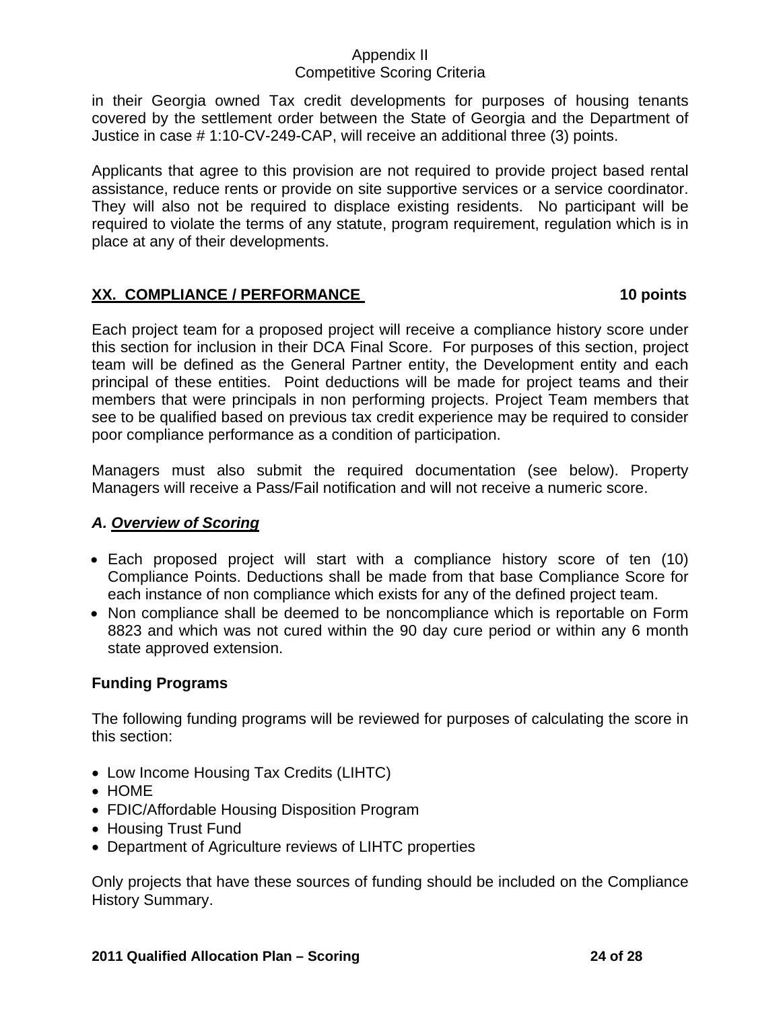in their Georgia owned Tax credit developments for purposes of housing tenants covered by the settlement order between the State of Georgia and the Department of Justice in case # 1:10-CV-249-CAP, will receive an additional three (3) points.

Applicants that agree to this provision are not required to provide project based rental assistance, reduce rents or provide on site supportive services or a service coordinator. They will also not be required to displace existing residents. No participant will be required to violate the terms of any statute, program requirement, regulation which is in place at any of their developments.

# XX. COMPLIANCE / PERFORMANCE 10 points **10 points**

Each project team for a proposed project will receive a compliance history score under this section for inclusion in their DCA Final Score. For purposes of this section, project team will be defined as the General Partner entity, the Development entity and each principal of these entities. Point deductions will be made for project teams and their members that were principals in non performing projects. Project Team members that see to be qualified based on previous tax credit experience may be required to consider poor compliance performance as a condition of participation.

Managers must also submit the required documentation (see below). Property Managers will receive a Pass/Fail notification and will not receive a numeric score.

# *A. Overview of Scoring*

- Each proposed project will start with a compliance history score of ten (10) Compliance Points. Deductions shall be made from that base Compliance Score for each instance of non compliance which exists for any of the defined project team.
- Non compliance shall be deemed to be noncompliance which is reportable on Form 8823 and which was not cured within the 90 day cure period or within any 6 month state approved extension.

# **Funding Programs**

The following funding programs will be reviewed for purposes of calculating the score in this section:

- Low Income Housing Tax Credits (LIHTC)
- HOME
- FDIC/Affordable Housing Disposition Program
- Housing Trust Fund
- Department of Agriculture reviews of LIHTC properties

Only projects that have these sources of funding should be included on the Compliance History Summary.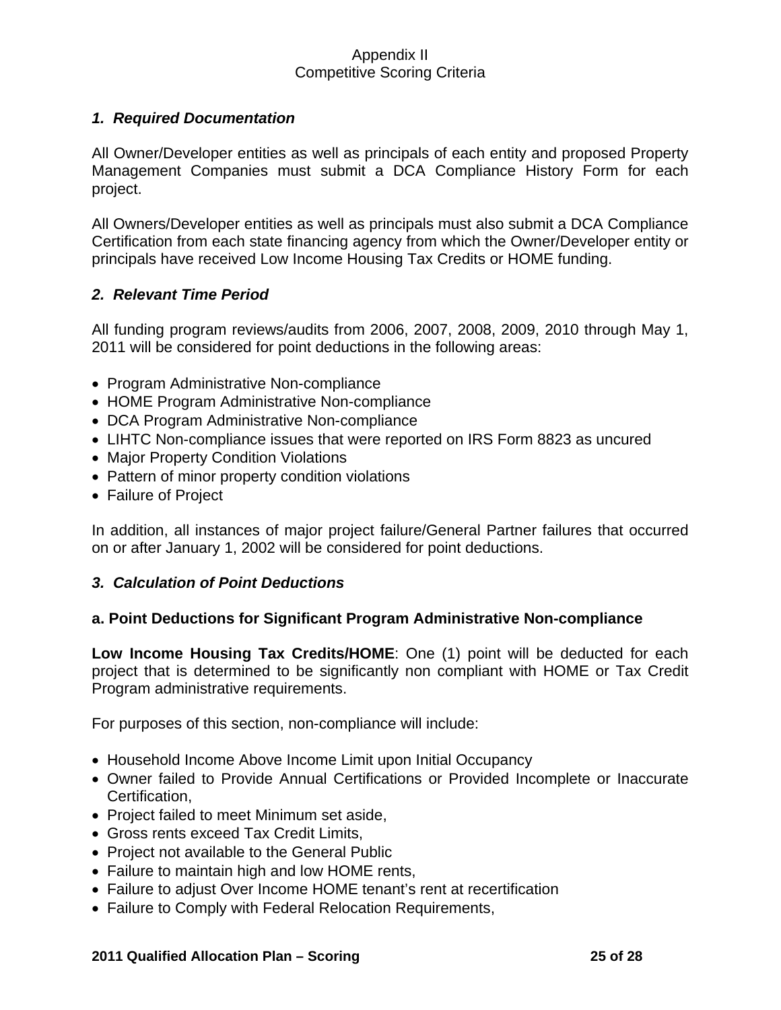## *1. Required Documentation*

All Owner/Developer entities as well as principals of each entity and proposed Property Management Companies must submit a DCA Compliance History Form for each project.

All Owners/Developer entities as well as principals must also submit a DCA Compliance Certification from each state financing agency from which the Owner/Developer entity or principals have received Low Income Housing Tax Credits or HOME funding.

### *2. Relevant Time Period*

All funding program reviews/audits from 2006, 2007, 2008, 2009, 2010 through May 1, 2011 will be considered for point deductions in the following areas:

- Program Administrative Non-compliance
- HOME Program Administrative Non-compliance
- DCA Program Administrative Non-compliance
- LIHTC Non-compliance issues that were reported on IRS Form 8823 as uncured
- Major Property Condition Violations
- Pattern of minor property condition violations
- Failure of Project

In addition, all instances of major project failure/General Partner failures that occurred on or after January 1, 2002 will be considered for point deductions.

### *3. Calculation of Point Deductions*

### **a. Point Deductions for Significant Program Administrative Non-compliance**

**Low Income Housing Tax Credits/HOME**: One (1) point will be deducted for each project that is determined to be significantly non compliant with HOME or Tax Credit Program administrative requirements.

For purposes of this section, non-compliance will include:

- Household Income Above Income Limit upon Initial Occupancy
- Owner failed to Provide Annual Certifications or Provided Incomplete or Inaccurate Certification,
- Project failed to meet Minimum set aside,
- Gross rents exceed Tax Credit Limits,
- Project not available to the General Public
- Failure to maintain high and low HOME rents,
- Failure to adjust Over Income HOME tenant's rent at recertification
- Failure to Comply with Federal Relocation Requirements,

#### **2011 Qualified Allocation Plan – Scoring 25 of 28**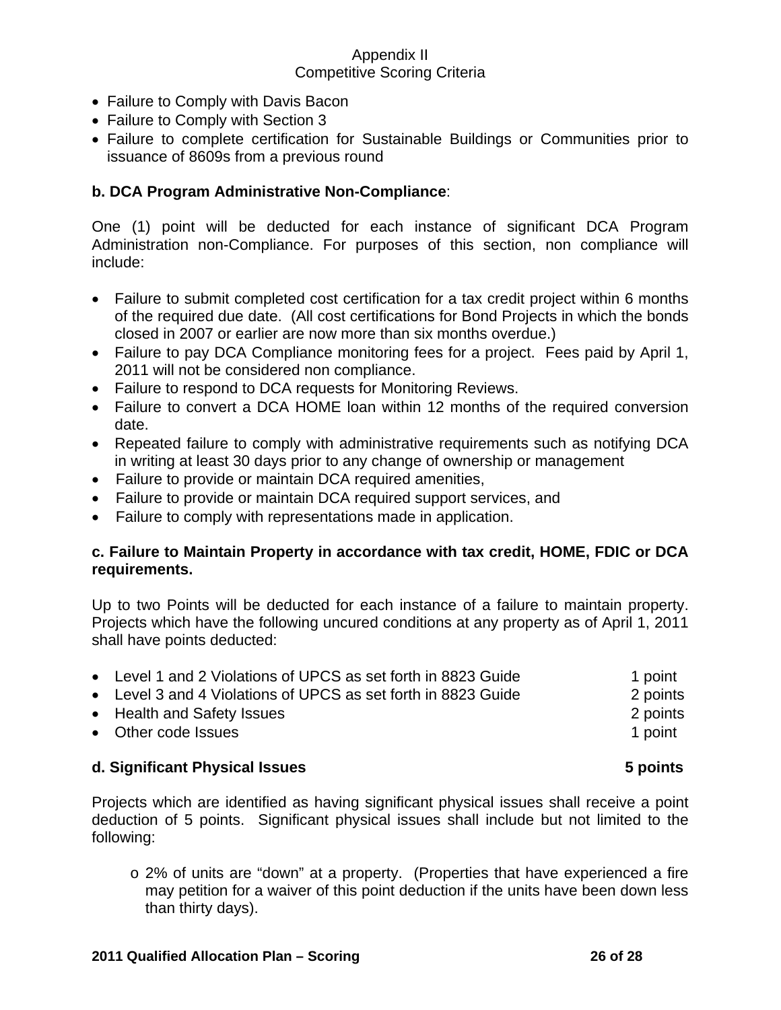- Failure to Comply with Davis Bacon
- Failure to Comply with Section 3
- Failure to complete certification for Sustainable Buildings or Communities prior to issuance of 8609s from a previous round

## **b. DCA Program Administrative Non-Compliance**:

One (1) point will be deducted for each instance of significant DCA Program Administration non-Compliance. For purposes of this section, non compliance will include:

- Failure to submit completed cost certification for a tax credit project within 6 months of the required due date. (All cost certifications for Bond Projects in which the bonds closed in 2007 or earlier are now more than six months overdue.)
- Failure to pay DCA Compliance monitoring fees for a project. Fees paid by April 1, 2011 will not be considered non compliance.
- Failure to respond to DCA requests for Monitoring Reviews.
- Failure to convert a DCA HOME loan within 12 months of the required conversion date.
- Repeated failure to comply with administrative requirements such as notifying DCA in writing at least 30 days prior to any change of ownership or management
- Failure to provide or maintain DCA required amenities,
- Failure to provide or maintain DCA required support services, and
- Failure to comply with representations made in application.

### **c. Failure to Maintain Property in accordance with tax credit, HOME, FDIC or DCA requirements.**

Up to two Points will be deducted for each instance of a failure to maintain property. Projects which have the following uncured conditions at any property as of April 1, 2011 shall have points deducted:

| • Level 1 and 2 Violations of UPCS as set forth in 8823 Guide | 1 point  |
|---------------------------------------------------------------|----------|
| • Level 3 and 4 Violations of UPCS as set forth in 8823 Guide | 2 points |
| • Health and Safety Issues                                    | 2 points |
| • Other code Issues                                           | 1 point  |
|                                                               |          |

### **d. Significant Physical Issues 5 points**

Projects which are identified as having significant physical issues shall receive a point deduction of 5 points. Significant physical issues shall include but not limited to the following:

o 2% of units are "down" at a property. (Properties that have experienced a fire may petition for a waiver of this point deduction if the units have been down less than thirty days).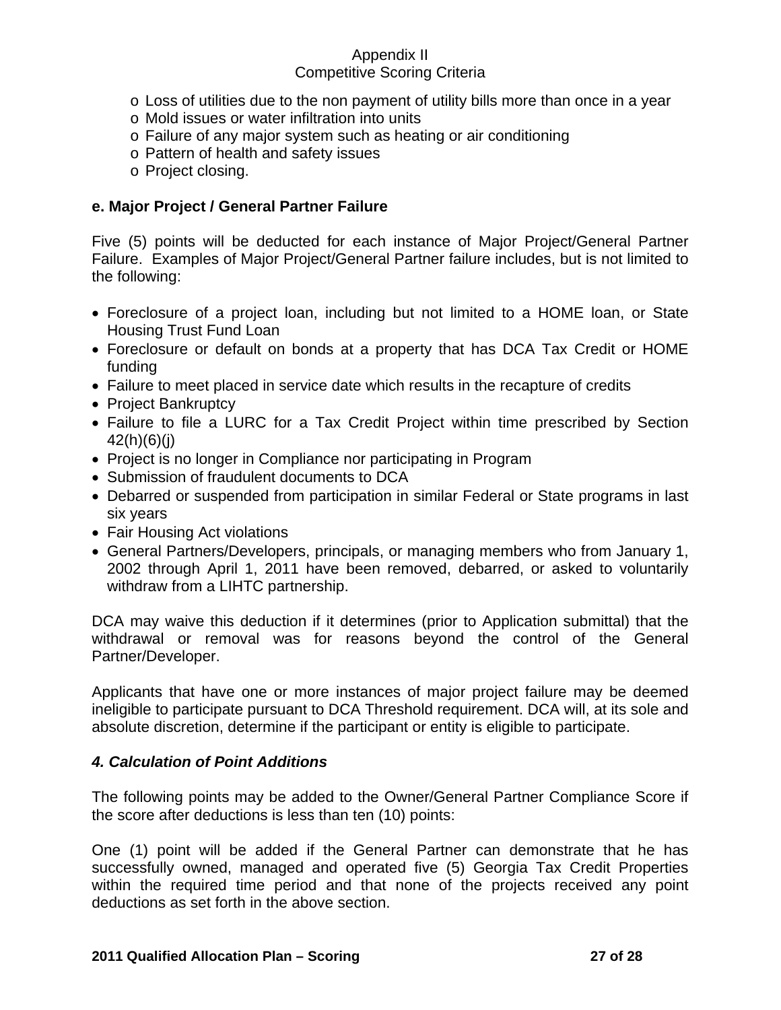- $\circ$  Loss of utilities due to the non payment of utility bills more than once in a year
- o Mold issues or water infiltration into units
- o Failure of any major system such as heating or air conditioning
- o Pattern of health and safety issues
- o Project closing.

## **e. Major Project / General Partner Failure**

Five (5) points will be deducted for each instance of Major Project/General Partner Failure. Examples of Major Project/General Partner failure includes, but is not limited to the following:

- Foreclosure of a project loan, including but not limited to a HOME loan, or State Housing Trust Fund Loan
- Foreclosure or default on bonds at a property that has DCA Tax Credit or HOME funding
- Failure to meet placed in service date which results in the recapture of credits
- Project Bankruptcy
- Failure to file a LURC for a Tax Credit Project within time prescribed by Section 42(h)(6)(j)
- Project is no longer in Compliance nor participating in Program
- Submission of fraudulent documents to DCA
- Debarred or suspended from participation in similar Federal or State programs in last six years
- Fair Housing Act violations
- General Partners/Developers, principals, or managing members who from January 1, 2002 through April 1, 2011 have been removed, debarred, or asked to voluntarily withdraw from a LIHTC partnership.

DCA may waive this deduction if it determines (prior to Application submittal) that the withdrawal or removal was for reasons beyond the control of the General Partner/Developer.

Applicants that have one or more instances of major project failure may be deemed ineligible to participate pursuant to DCA Threshold requirement. DCA will, at its sole and absolute discretion, determine if the participant or entity is eligible to participate.

### *4. Calculation of Point Additions*

The following points may be added to the Owner/General Partner Compliance Score if the score after deductions is less than ten (10) points:

One (1) point will be added if the General Partner can demonstrate that he has successfully owned, managed and operated five (5) Georgia Tax Credit Properties within the required time period and that none of the projects received any point deductions as set forth in the above section.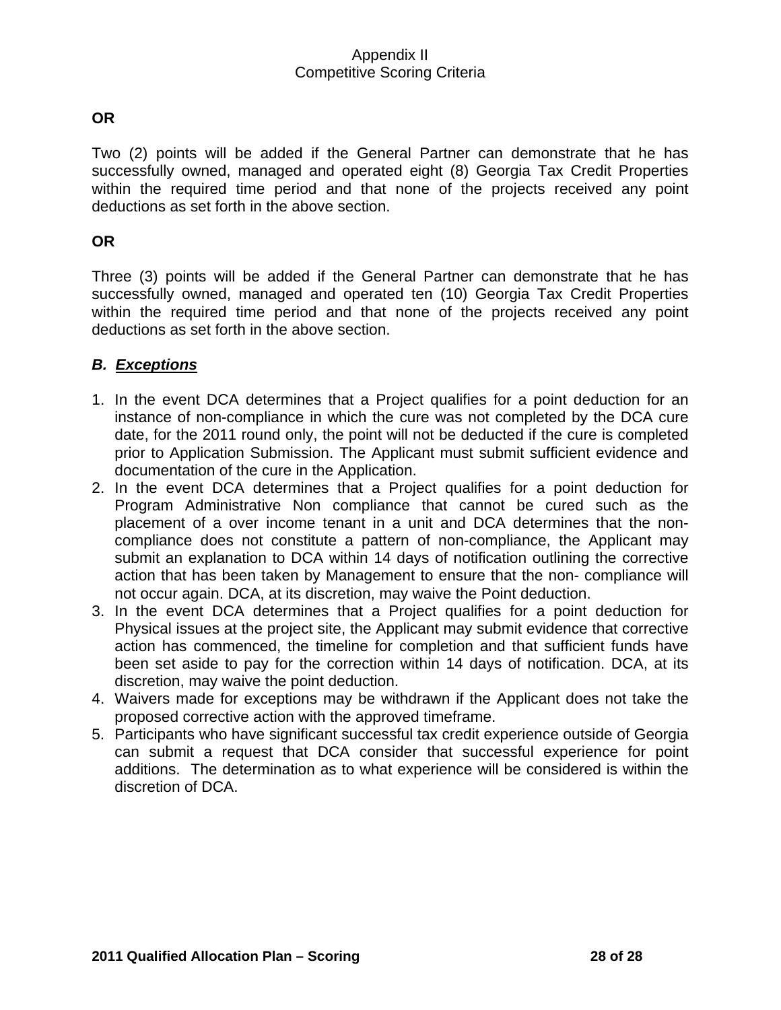## **OR**

Two (2) points will be added if the General Partner can demonstrate that he has successfully owned, managed and operated eight (8) Georgia Tax Credit Properties within the required time period and that none of the projects received any point deductions as set forth in the above section.

#### **OR**

Three (3) points will be added if the General Partner can demonstrate that he has successfully owned, managed and operated ten (10) Georgia Tax Credit Properties within the required time period and that none of the projects received any point deductions as set forth in the above section.

## *B. Exceptions*

- 1. In the event DCA determines that a Project qualifies for a point deduction for an instance of non-compliance in which the cure was not completed by the DCA cure date, for the 2011 round only, the point will not be deducted if the cure is completed prior to Application Submission. The Applicant must submit sufficient evidence and documentation of the cure in the Application.
- 2. In the event DCA determines that a Project qualifies for a point deduction for Program Administrative Non compliance that cannot be cured such as the placement of a over income tenant in a unit and DCA determines that the noncompliance does not constitute a pattern of non-compliance, the Applicant may submit an explanation to DCA within 14 days of notification outlining the corrective action that has been taken by Management to ensure that the non- compliance will not occur again. DCA, at its discretion, may waive the Point deduction.
- 3. In the event DCA determines that a Project qualifies for a point deduction for Physical issues at the project site, the Applicant may submit evidence that corrective action has commenced, the timeline for completion and that sufficient funds have been set aside to pay for the correction within 14 days of notification. DCA, at its discretion, may waive the point deduction.
- 4. Waivers made for exceptions may be withdrawn if the Applicant does not take the proposed corrective action with the approved timeframe.
- 5. Participants who have significant successful tax credit experience outside of Georgia can submit a request that DCA consider that successful experience for point additions. The determination as to what experience will be considered is within the discretion of DCA.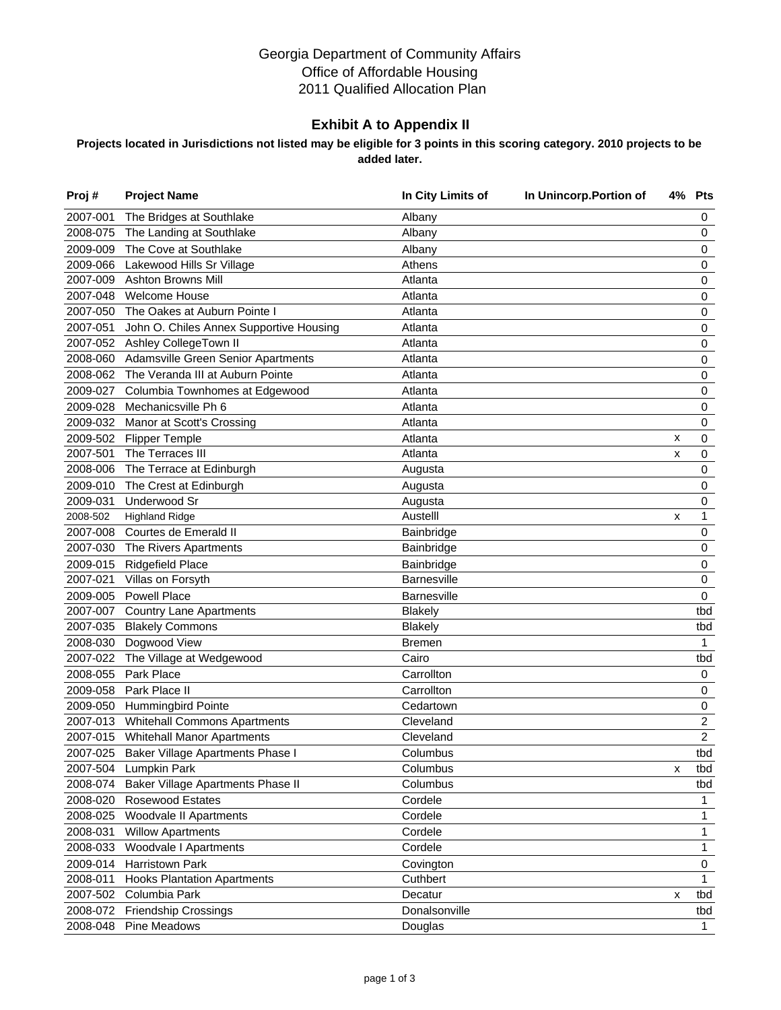#### Georgia Department of Community Affairs Office of Affordable Housing 2011 Qualified Allocation Plan

#### **Exhibit A to Appendix II**

#### **Projects located in Jurisdictions not listed may be eligible for 3 points in this scoring category. 2010 projects to be added later.**

| Proj#    | <b>Project Name</b>                       | In City Limits of  | In Unincorp. Portion of |   | 4% Pts                  |
|----------|-------------------------------------------|--------------------|-------------------------|---|-------------------------|
| 2007-001 | The Bridges at Southlake                  | Albany             |                         |   | 0                       |
| 2008-075 | The Landing at Southlake                  | Albany             |                         |   | $\pmb{0}$               |
| 2009-009 | The Cove at Southlake                     | Albany             |                         |   | 0                       |
| 2009-066 | Lakewood Hills Sr Village                 | Athens             |                         |   | 0                       |
| 2007-009 | <b>Ashton Browns Mill</b>                 | Atlanta            |                         |   | 0                       |
| 2007-048 | <b>Welcome House</b>                      | Atlanta            |                         |   | 0                       |
| 2007-050 | The Oakes at Auburn Pointe I              | Atlanta            |                         |   | 0                       |
| 2007-051 | John O. Chiles Annex Supportive Housing   | Atlanta            |                         |   | $\pmb{0}$               |
|          | 2007-052 Ashley CollegeTown II            | Atlanta            |                         |   | 0                       |
| 2008-060 | Adamsville Green Senior Apartments        | Atlanta            |                         |   | 0                       |
| 2008-062 | The Veranda III at Auburn Pointe          | Atlanta            |                         |   | $\pmb{0}$               |
| 2009-027 | Columbia Townhomes at Edgewood            | Atlanta            |                         |   | $\pmb{0}$               |
| 2009-028 | Mechanicsville Ph 6                       | Atlanta            |                         |   | 0                       |
|          | 2009-032 Manor at Scott's Crossing        | Atlanta            |                         |   | 0                       |
| 2009-502 | <b>Flipper Temple</b>                     | Atlanta            |                         | x | 0                       |
| 2007-501 | The Terraces III                          | Atlanta            |                         | x | 0                       |
| 2008-006 | The Terrace at Edinburgh                  | Augusta            |                         |   | 0                       |
| 2009-010 | The Crest at Edinburgh                    | Augusta            |                         |   | 0                       |
| 2009-031 | Underwood Sr                              | Augusta            |                         |   | 0                       |
| 2008-502 | <b>Highland Ridge</b>                     | Austelll           |                         | x | 1                       |
| 2007-008 | Courtes de Emerald II                     | Bainbridge         |                         |   | 0                       |
| 2007-030 | The Rivers Apartments                     | Bainbridge         |                         |   | 0                       |
| 2009-015 | <b>Ridgefield Place</b>                   | Bainbridge         |                         |   | 0                       |
| 2007-021 | Villas on Forsyth                         | <b>Barnesville</b> |                         |   | 0                       |
| 2009-005 | <b>Powell Place</b>                       | <b>Barnesville</b> |                         |   | 0                       |
| 2007-007 | <b>Country Lane Apartments</b>            | <b>Blakely</b>     |                         |   | tbd                     |
| 2007-035 | <b>Blakely Commons</b>                    | <b>Blakely</b>     |                         |   | tbd                     |
| 2008-030 | Dogwood View                              | <b>Bremen</b>      |                         |   | 1                       |
| 2007-022 | The Village at Wedgewood                  | Cairo              |                         |   | tbd                     |
| 2008-055 | Park Place                                | Carrollton         |                         |   | 0                       |
| 2009-058 | Park Place II                             | Carrollton         |                         |   | 0                       |
| 2009-050 | <b>Hummingbird Pointe</b>                 | Cedartown          |                         |   | 0                       |
| 2007-013 | <b>Whitehall Commons Apartments</b>       | Cleveland          |                         |   | $\overline{\mathbf{c}}$ |
|          | 2007-015 Whitehall Manor Apartments       | Cleveland          |                         |   | $\overline{c}$          |
|          | 2007-025 Baker Village Apartments Phase I | Columbus           |                         |   | tbd                     |
| 2007-504 | Lumpkin Park                              | Columbus           |                         | x | tbd                     |
| 2008-074 | Baker Village Apartments Phase II         | Columbus           |                         |   | tbd                     |
| 2008-020 | Rosewood Estates                          | Cordele            |                         |   | 1                       |
| 2008-025 | Woodvale II Apartments                    | Cordele            |                         |   | 1                       |
| 2008-031 | <b>Willow Apartments</b>                  | Cordele            |                         |   | 1                       |
| 2008-033 | Woodvale I Apartments                     | Cordele            |                         |   | 1                       |
| 2009-014 | Harristown Park                           | Covington          |                         |   | 0                       |
| 2008-011 | <b>Hooks Plantation Apartments</b>        | Cuthbert           |                         |   | 1                       |
| 2007-502 | Columbia Park                             | Decatur            |                         | x | tbd                     |
| 2008-072 | <b>Friendship Crossings</b>               | Donalsonville      |                         |   | tbd                     |
| 2008-048 | <b>Pine Meadows</b>                       | Douglas            |                         |   | $\mathbf{1}$            |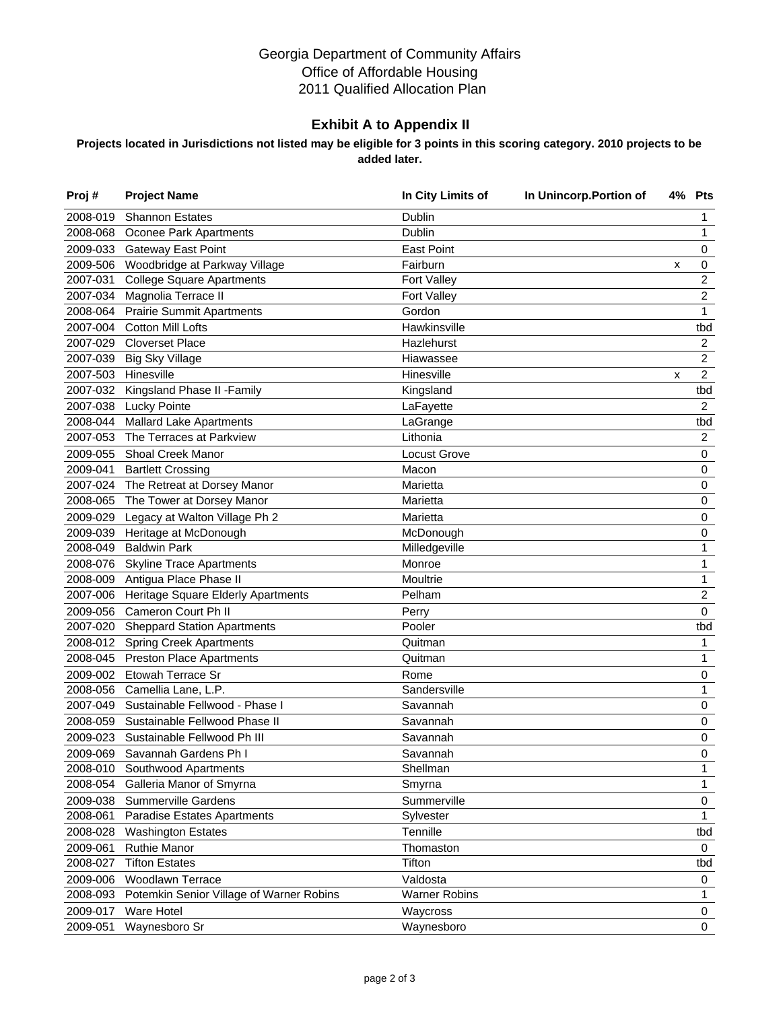#### Georgia Department of Community Affairs Office of Affordable Housing 2011 Qualified Allocation Plan

#### **Exhibit A to Appendix II**

#### **Projects located in Jurisdictions not listed may be eligible for 3 points in this scoring category. 2010 projects to be added later.**

| Proj#    | <b>Project Name</b>                      | In City Limits of    | In Unincorp. Portion of |   | 4% Pts         |
|----------|------------------------------------------|----------------------|-------------------------|---|----------------|
| 2008-019 | <b>Shannon Estates</b>                   | Dublin               |                         |   | 1              |
| 2008-068 | Oconee Park Apartments                   | Dublin               |                         |   | 1              |
| 2009-033 | <b>Gateway East Point</b>                | <b>East Point</b>    |                         |   | 0              |
| 2009-506 | Woodbridge at Parkway Village            | Fairburn             |                         | х | 0              |
| 2007-031 | <b>College Square Apartments</b>         | Fort Valley          |                         |   | 2              |
| 2007-034 | Magnolia Terrace II                      | <b>Fort Valley</b>   |                         |   | 2              |
| 2008-064 | <b>Prairie Summit Apartments</b>         | Gordon               |                         |   | $\mathbf{1}$   |
| 2007-004 | <b>Cotton Mill Lofts</b>                 | Hawkinsville         |                         |   | tbd            |
| 2007-029 | <b>Cloverset Place</b>                   | Hazlehurst           |                         |   | $\overline{c}$ |
| 2007-039 | <b>Big Sky Village</b>                   | Hiawassee            |                         |   | $\overline{c}$ |
|          | 2007-503 Hinesville                      | Hinesville           |                         | x | $\overline{a}$ |
| 2007-032 | Kingsland Phase II - Family              | Kingsland            |                         |   | tbd            |
| 2007-038 | <b>Lucky Pointe</b>                      | LaFayette            |                         |   | $\overline{c}$ |
| 2008-044 | <b>Mallard Lake Apartments</b>           | LaGrange             |                         |   | tbd            |
| 2007-053 | The Terraces at Parkview                 | Lithonia             |                         |   | $\overline{c}$ |
| 2009-055 | Shoal Creek Manor                        | <b>Locust Grove</b>  |                         |   | 0              |
| 2009-041 | <b>Bartlett Crossing</b>                 | Macon                |                         |   | $\pmb{0}$      |
|          | 2007-024 The Retreat at Dorsey Manor     | Marietta             |                         |   | 0              |
| 2008-065 | The Tower at Dorsey Manor                | Marietta             |                         |   | 0              |
| 2009-029 | Legacy at Walton Village Ph 2            | Marietta             |                         |   | $\pmb{0}$      |
| 2009-039 | Heritage at McDonough                    | McDonough            |                         |   | 0              |
| 2008-049 | <b>Baldwin Park</b>                      | Milledgeville        |                         |   | 1              |
| 2008-076 | <b>Skyline Trace Apartments</b>          | Monroe               |                         |   | 1              |
| 2008-009 | Antigua Place Phase II                   | Moultrie             |                         |   | 1              |
| 2007-006 | Heritage Square Elderly Apartments       | Pelham               |                         |   | $\overline{c}$ |
| 2009-056 | Cameron Court Ph II                      | Perry                |                         |   | 0              |
| 2007-020 | <b>Sheppard Station Apartments</b>       | Pooler               |                         |   | tbd            |
|          | 2008-012 Spring Creek Apartments         | Quitman              |                         |   | 1              |
| 2008-045 | <b>Preston Place Apartments</b>          | Quitman              |                         |   | 1              |
| 2009-002 | Etowah Terrace Sr                        | Rome                 |                         |   | 0              |
| 2008-056 | Camellia Lane, L.P.                      | Sandersville         |                         |   | 1              |
| 2007-049 | Sustainable Fellwood - Phase I           | Savannah             |                         |   | 0              |
| 2008-059 | Sustainable Fellwood Phase II            | Savannah             |                         |   | 0              |
| 2009-023 | Sustainable Fellwood Ph III              | Savannah             |                         |   | 0              |
| 2009-069 | Savannah Gardens Ph I                    | Savannah             |                         |   | 0              |
| 2008-010 | Southwood Apartments                     | Shellman             |                         |   | 1              |
| 2008-054 | Galleria Manor of Smyrna                 | Smyrna               |                         |   | 1              |
| 2009-038 | <b>Summerville Gardens</b>               | Summerville          |                         |   | 0              |
| 2008-061 | Paradise Estates Apartments              | Sylvester            |                         |   | 1              |
| 2008-028 | <b>Washington Estates</b>                | Tennille             |                         |   | tbd            |
| 2009-061 | <b>Ruthie Manor</b>                      | Thomaston            |                         |   | 0              |
| 2008-027 | <b>Tifton Estates</b>                    | Tifton               |                         |   | tbd            |
| 2009-006 | Woodlawn Terrace                         | Valdosta             |                         |   | 0              |
| 2008-093 | Potemkin Senior Village of Warner Robins | <b>Warner Robins</b> |                         |   | 1              |
| 2009-017 | Ware Hotel                               | Waycross             |                         |   | 0              |
| 2009-051 | Waynesboro Sr                            | Waynesboro           |                         |   | $\mathbf 0$    |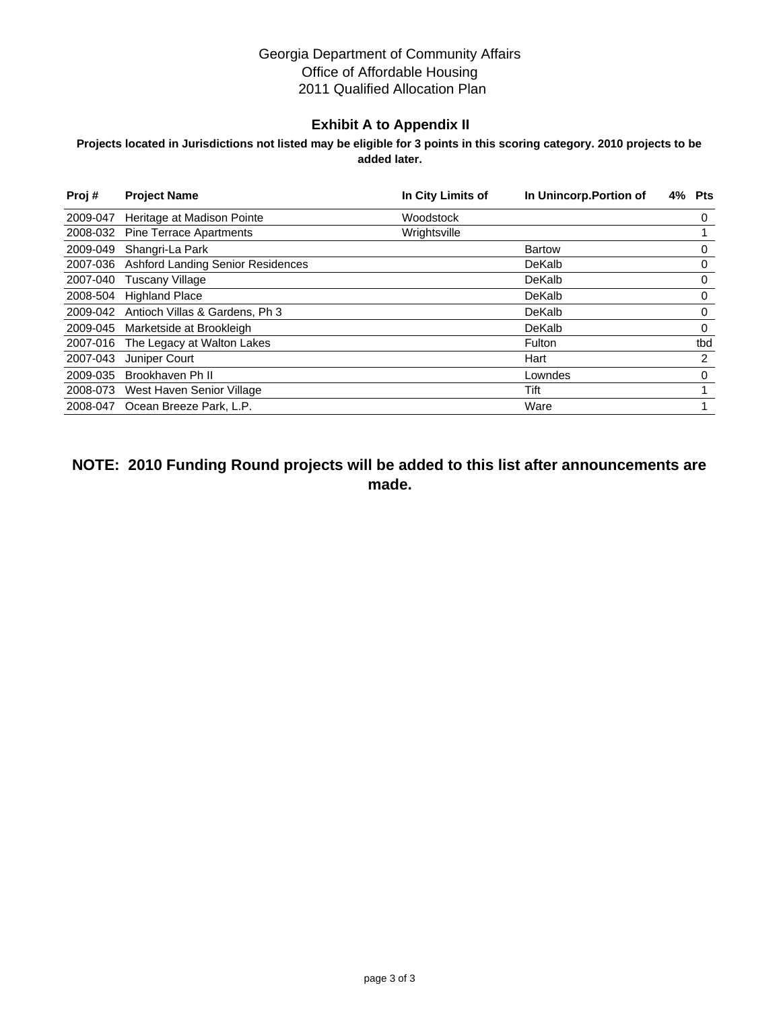#### Georgia Department of Community Affairs Office of Affordable Housing 2011 Qualified Allocation Plan

#### **Exhibit A to Appendix II**

#### **Projects located in Jurisdictions not listed may be eligible for 3 points in this scoring category. 2010 projects to be added later.**

| Proj#    | <b>Project Name</b>                      | In City Limits of | In Unincorp. Portion of | Pts<br>4% |
|----------|------------------------------------------|-------------------|-------------------------|-----------|
| 2009-047 | Heritage at Madison Pointe               | Woodstock         |                         | 0         |
| 2008-032 | <b>Pine Terrace Apartments</b>           | Wrightsville      |                         |           |
| 2009-049 | Shangri-La Park                          |                   | <b>Bartow</b>           | 0         |
| 2007-036 | <b>Ashford Landing Senior Residences</b> |                   | DeKalb                  | 0         |
| 2007-040 | <b>Tuscany Village</b>                   |                   | DeKalb                  | 0         |
| 2008-504 | <b>Highland Place</b>                    |                   | DeKalb                  | 0         |
|          | 2009-042 Antioch Villas & Gardens, Ph 3  |                   | DeKalb                  | 0         |
| 2009-045 | Marketside at Brookleigh                 |                   | DeKalb                  | 0         |
| 2007-016 | The Legacy at Walton Lakes               |                   | Fulton                  | tbd       |
| 2007-043 | Juniper Court                            |                   | Hart                    | 2         |
| 2009-035 | Brookhaven Ph II                         |                   | Lowndes                 | $\Omega$  |
| 2008-073 | West Haven Senior Village                |                   | Tift                    |           |
|          | 2008-047 Ocean Breeze Park, L.P.         |                   | Ware                    |           |

**NOTE: 2010 Funding Round projects will be added to this list after announcements are made.**